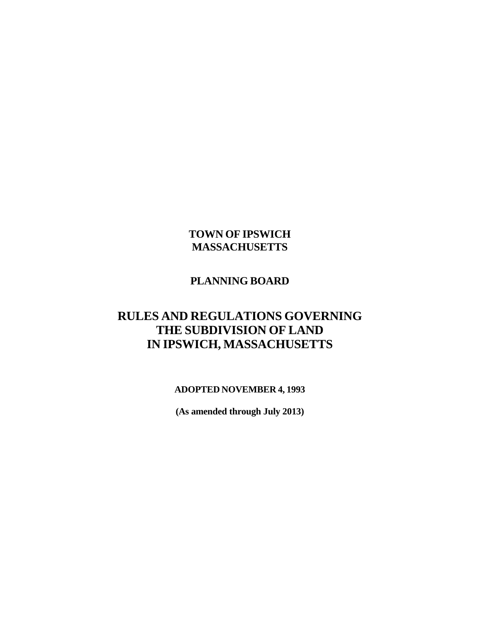# **TOWN OF IPSWICH MASSACHUSETTS**

# **PLANNING BOARD**

# **RULES AND REGULATIONS GOVERNING THE SUBDIVISION OF LAND IN IPSWICH, MASSACHUSETTS**

**ADOPTED NOVEMBER 4, 1993**

**(As amended through July 2013)**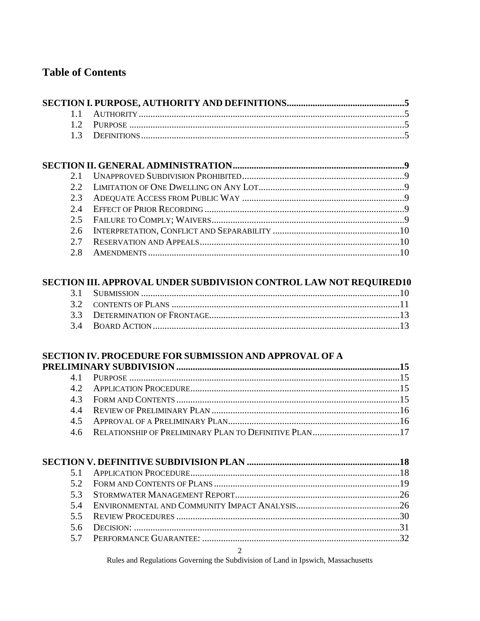# **Table of Contents**

# SECTION III. APPROVAL UNDER SUBDIVISION CONTROL LAW NOT REQUIRED10

# SECTION IV. PROCEDURE FOR SUBMISSION AND APPROVAL OF A **PREL**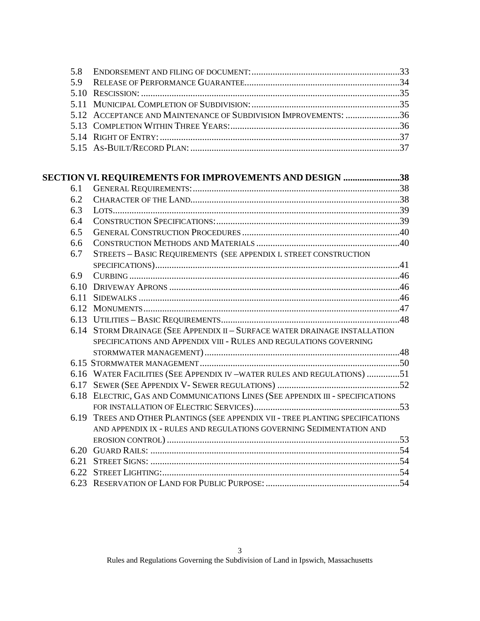| 5.12 ACCEPTANCE AND MAINTENANCE OF SUBDIVISION IMPROVEMENTS: 36 |  |
|-----------------------------------------------------------------|--|
|                                                                 |  |
|                                                                 |  |
|                                                                 |  |

|      | <b>SECTION VI. REQUIREMENTS FOR IMPROVEMENTS AND DESIGN 38</b>                  |  |
|------|---------------------------------------------------------------------------------|--|
| 6.1  |                                                                                 |  |
| 6.2  |                                                                                 |  |
| 6.3  |                                                                                 |  |
| 6.4  |                                                                                 |  |
| 6.5  |                                                                                 |  |
| 6.6  |                                                                                 |  |
| 6.7  | STREETS - BASIC REQUIREMENTS (SEE APPENDIX I. STREET CONSTRUCTION               |  |
|      |                                                                                 |  |
| 6.9  |                                                                                 |  |
| 6.10 |                                                                                 |  |
| 6.11 |                                                                                 |  |
|      |                                                                                 |  |
|      |                                                                                 |  |
|      | 6.14 STORM DRAINAGE (SEE APPENDIX II - SURFACE WATER DRAINAGE INSTALLATION      |  |
|      | SPECIFICATIONS AND APPENDIX VIII - RULES AND REGULATIONS GOVERNING              |  |
|      |                                                                                 |  |
|      |                                                                                 |  |
|      | 6.16 WATER FACILITIES (SEE APPENDIX IV -WATER RULES AND REGULATIONS) 51         |  |
|      |                                                                                 |  |
|      | 6.18 ELECTRIC, GAS AND COMMUNICATIONS LINES (SEE APPENDIX III - SPECIFICATIONS  |  |
|      |                                                                                 |  |
|      | 6.19 TREES AND OTHER PLANTINGS (SEE APPENDIX VII - TREE PLANTING SPECIFICATIONS |  |
|      | AND APPENDIX IX - RULES AND REGULATIONS GOVERNING SEDIMENTATION AND             |  |
|      |                                                                                 |  |
|      |                                                                                 |  |
| 6.21 |                                                                                 |  |
|      |                                                                                 |  |
|      |                                                                                 |  |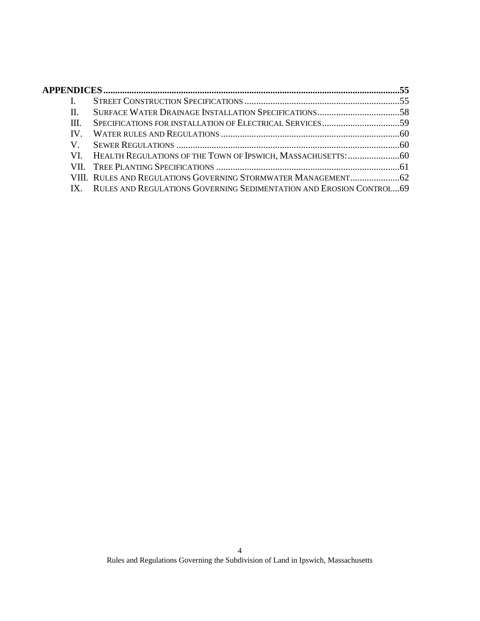| $\Pi$        |                                                                         |  |
|--------------|-------------------------------------------------------------------------|--|
| $\mathbf{H}$ |                                                                         |  |
| IV -         |                                                                         |  |
| V —          |                                                                         |  |
| VI –         |                                                                         |  |
|              |                                                                         |  |
|              |                                                                         |  |
|              | IX. RULES AND REGULATIONS GOVERNING SEDIMENTATION AND EROSION CONTROL69 |  |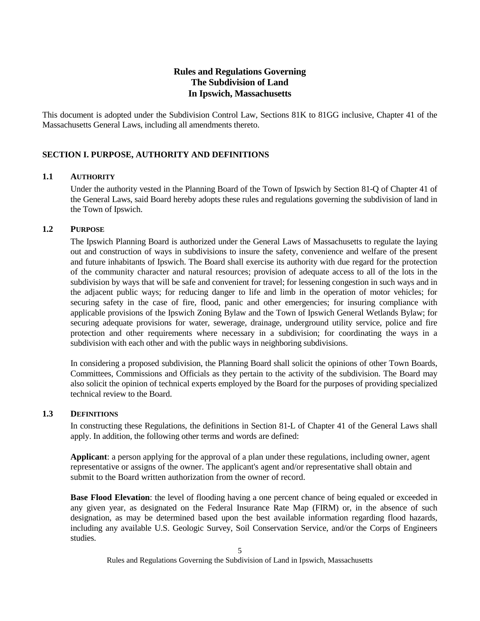# **Rules and Regulations Governing The Subdivision of Land In Ipswich, Massachusetts**

This document is adopted under the Subdivision Control Law, Sections 81K to 81GG inclusive, Chapter 41 of the Massachusetts General Laws, including all amendments thereto.

# <span id="page-4-0"></span>**SECTION I. PURPOSE, AUTHORITY AND DEFINITIONS**

# <span id="page-4-1"></span>**1.1 AUTHORITY**

Under the authority vested in the Planning Board of the Town of Ipswich by Section 81-Q of Chapter 41 of the General Laws, said Board hereby adopts these rules and regulations governing the subdivision of land in the Town of Ipswich.

# <span id="page-4-2"></span>**1.2 PURPOSE**

The Ipswich Planning Board is authorized under the General Laws of Massachusetts to regulate the laying out and construction of ways in subdivisions to insure the safety, convenience and welfare of the present and future inhabitants of Ipswich. The Board shall exercise its authority with due regard for the protection of the community character and natural resources; provision of adequate access to all of the lots in the subdivision by ways that will be safe and convenient for travel; for lessening congestion in such ways and in the adjacent public ways; for reducing danger to life and limb in the operation of motor vehicles; for securing safety in the case of fire, flood, panic and other emergencies; for insuring compliance with applicable provisions of the Ipswich Zoning Bylaw and the Town of Ipswich General Wetlands Bylaw; for securing adequate provisions for water, sewerage, drainage, underground utility service, police and fire protection and other requirements where necessary in a subdivision; for coordinating the ways in a subdivision with each other and with the public ways in neighboring subdivisions.

In considering a proposed subdivision, the Planning Board shall solicit the opinions of other Town Boards, Committees, Commissions and Officials as they pertain to the activity of the subdivision. The Board may also solicit the opinion of technical experts employed by the Board for the purposes of providing specialized technical review to the Board.

## <span id="page-4-3"></span>**1.3 DEFINITIONS**

In constructing these Regulations, the definitions in Section 81-L of Chapter 41 of the General Laws shall apply. In addition, the following other terms and words are defined:

**Applicant**: a person applying for the approval of a plan under these regulations, including owner, agent representative or assigns of the owner. The applicant's agent and/or representative shall obtain and submit to the Board written authorization from the owner of record.

**Base Flood Elevation**: the level of flooding having a one percent chance of being equaled or exceeded in any given year, as designated on the Federal Insurance Rate Map (FIRM) or, in the absence of such designation, as may be determined based upon the best available information regarding flood hazards, including any available U.S. Geologic Survey, Soil Conservation Service, and/or the Corps of Engineers studies.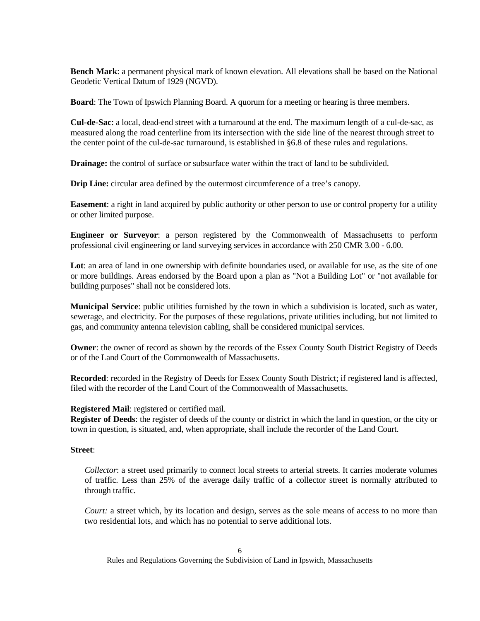**Bench Mark**: a permanent physical mark of known elevation. All elevations shall be based on the National Geodetic Vertical Datum of 1929 (NGVD).

**Board**: The Town of Ipswich Planning Board. A quorum for a meeting or hearing is three members.

**Cul-de-Sac**: a local, dead-end street with a turnaround at the end. The maximum length of a cul-de-sac, as measured along the road centerline from its intersection with the side line of the nearest through street to the center point of the cul-de-sac turnaround, is established in §6.8 of these rules and regulations.

**Drainage:** the control of surface or subsurface water within the tract of land to be subdivided.

**Drip Line:** circular area defined by the outermost circumference of a tree's canopy.

**Easement**: a right in land acquired by public authority or other person to use or control property for a utility or other limited purpose.

**Engineer or Surveyor**: a person registered by the Commonwealth of Massachusetts to perform professional civil engineering or land surveying services in accordance with 250 CMR 3.00 - 6.00.

Lot: an area of land in one ownership with definite boundaries used, or available for use, as the site of one or more buildings. Areas endorsed by the Board upon a plan as "Not a Building Lot" or "not available for building purposes" shall not be considered lots.

**Municipal Service**: public utilities furnished by the town in which a subdivision is located, such as water, sewerage, and electricity. For the purposes of these regulations, private utilities including, but not limited to gas, and community antenna television cabling, shall be considered municipal services.

**Owner:** the owner of record as shown by the records of the Essex County South District Registry of Deeds or of the Land Court of the Commonwealth of Massachusetts.

**Recorded**: recorded in the Registry of Deeds for Essex County South District; if registered land is affected, filed with the recorder of the Land Court of the Commonwealth of Massachusetts.

## **Registered Mail**: registered or certified mail.

**Register of Deeds**: the register of deeds of the county or district in which the land in question, or the city or town in question, is situated, and, when appropriate, shall include the recorder of the Land Court.

## **Street**:

*Collector*: a street used primarily to connect local streets to arterial streets. It carries moderate volumes of traffic. Less than 25% of the average daily traffic of a collector street is normally attributed to through traffic.

*Court:* a street which, by its location and design, serves as the sole means of access to no more than two residential lots, and which has no potential to serve additional lots.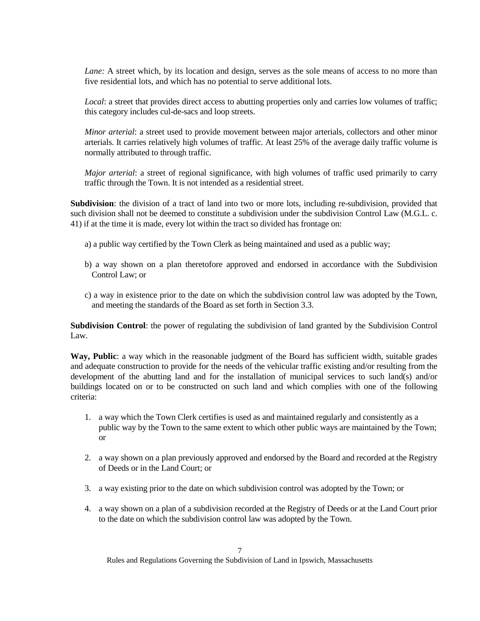*Lane:* A street which, by its location and design, serves as the sole means of access to no more than five residential lots, and which has no potential to serve additional lots.

*Local*: a street that provides direct access to abutting properties only and carries low volumes of traffic; this category includes cul-de-sacs and loop streets.

*Minor arterial*: a street used to provide movement between major arterials, collectors and other minor arterials. It carries relatively high volumes of traffic. At least 25% of the average daily traffic volume is normally attributed to through traffic.

*Major arterial*: a street of regional significance, with high volumes of traffic used primarily to carry traffic through the Town. It is not intended as a residential street.

**Subdivision**: the division of a tract of land into two or more lots, including re-subdivision, provided that such division shall not be deemed to constitute a subdivision under the subdivision Control Law (M.G.L. c. 41) if at the time it is made, every lot within the tract so divided has frontage on:

- a) a public way certified by the Town Clerk as being maintained and used as a public way;
- b) a way shown on a plan theretofore approved and endorsed in accordance with the Subdivision Control Law; or
- c) a way in existence prior to the date on which the subdivision control law was adopted by the Town, and meeting the standards of the Board as set forth in Section 3.3.

**Subdivision Control**: the power of regulating the subdivision of land granted by the Subdivision Control Law.

**Way, Public**: a way which in the reasonable judgment of the Board has sufficient width, suitable grades and adequate construction to provide for the needs of the vehicular traffic existing and/or resulting from the development of the abutting land and for the installation of municipal services to such land(s) and/or buildings located on or to be constructed on such land and which complies with one of the following criteria:

- 1. a way which the Town Clerk certifies is used as and maintained regularly and consistently as a public way by the Town to the same extent to which other public ways are maintained by the Town; or
- 2. a way shown on a plan previously approved and endorsed by the Board and recorded at the Registry of Deeds or in the Land Court; or
- 3. a way existing prior to the date on which subdivision control was adopted by the Town; or
- 4. a way shown on a plan of a subdivision recorded at the Registry of Deeds or at the Land Court prior to the date on which the subdivision control law was adopted by the Town.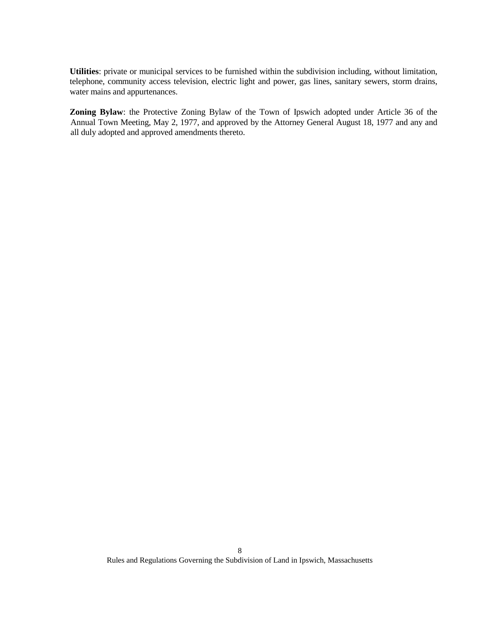**Utilities**: private or municipal services to be furnished within the subdivision including, without limitation, telephone, community access television, electric light and power, gas lines, sanitary sewers, storm drains, water mains and appurtenances.

**Zoning Bylaw**: the Protective Zoning Bylaw of the Town of Ipswich adopted under Article 36 of the Annual Town Meeting, May 2, 1977, and approved by the Attorney General August 18, 1977 and any and all duly adopted and approved amendments thereto.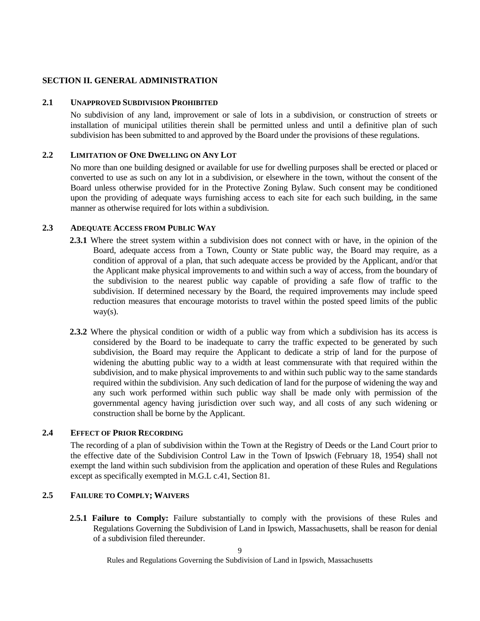## <span id="page-8-0"></span>**SECTION II. GENERAL ADMINISTRATION**

## <span id="page-8-1"></span>**2.1 UNAPPROVED SUBDIVISION PROHIBITED**

No subdivision of any land, improvement or sale of lots in a subdivision, or construction of streets or installation of municipal utilities therein shall be permitted unless and until a definitive plan of such subdivision has been submitted to and approved by the Board under the provisions of these regulations.

## <span id="page-8-2"></span>**2.2 LIMITATION OF ONE DWELLING ON ANY LOT**

No more than one building designed or available for use for dwelling purposes shall be erected or placed or converted to use as such on any lot in a subdivision, or elsewhere in the town, without the consent of the Board unless otherwise provided for in the Protective Zoning Bylaw. Such consent may be conditioned upon the providing of adequate ways furnishing access to each site for each such building, in the same manner as otherwise required for lots within a subdivision.

## <span id="page-8-3"></span>**2.3 ADEQUATE ACCESS FROM PUBLIC WAY**

- **2.3.1** Where the street system within a subdivision does not connect with or have, in the opinion of the Board, adequate access from a Town, County or State public way, the Board may require, as a condition of approval of a plan, that such adequate access be provided by the Applicant, and/or that the Applicant make physical improvements to and within such a way of access, from the boundary of the subdivision to the nearest public way capable of providing a safe flow of traffic to the subdivision. If determined necessary by the Board, the required improvements may include speed reduction measures that encourage motorists to travel within the posted speed limits of the public  $way(s)$ .
- **2.3.2** Where the physical condition or width of a public way from which a subdivision has its access is considered by the Board to be inadequate to carry the traffic expected to be generated by such subdivision, the Board may require the Applicant to dedicate a strip of land for the purpose of widening the abutting public way to a width at least commensurate with that required within the subdivision, and to make physical improvements to and within such public way to the same standards required within the subdivision. Any such dedication of land for the purpose of widening the way and any such work performed within such public way shall be made only with permission of the governmental agency having jurisdiction over such way, and all costs of any such widening or construction shall be borne by the Applicant.

# <span id="page-8-4"></span>**2.4 EFFECT OF PRIOR RECORDING**

The recording of a plan of subdivision within the Town at the Registry of Deeds or the Land Court prior to the effective date of the Subdivision Control Law in the Town of Ipswich (February 18, 1954) shall not exempt the land within such subdivision from the application and operation of these Rules and Regulations except as specifically exempted in M.G.L c.41, Section 81.

# <span id="page-8-5"></span>**2.5 FAILURE TO COMPLY; WAIVERS**

**2.5.1 Failure to Comply:** Failure substantially to comply with the provisions of these Rules and Regulations Governing the Subdivision of Land in Ipswich, Massachusetts, shall be reason for denial of a subdivision filed thereunder.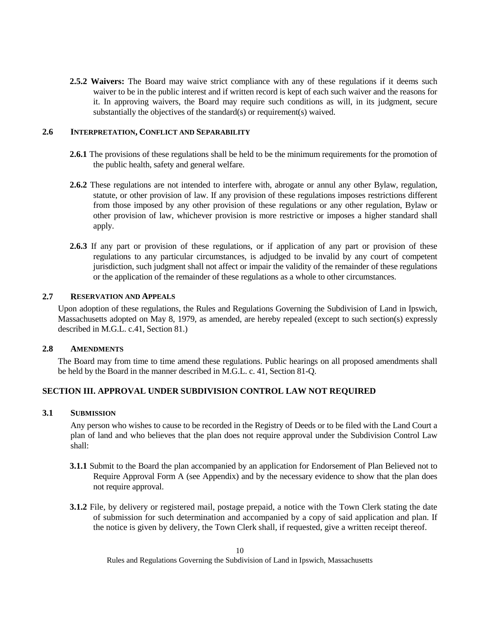**2.5.2 Waivers:** The Board may waive strict compliance with any of these regulations if it deems such waiver to be in the public interest and if written record is kept of each such waiver and the reasons for it. In approving waivers, the Board may require such conditions as will, in its judgment, secure substantially the objectives of the standard(s) or requirement(s) waived.

## <span id="page-9-0"></span>**2.6 INTERPRETATION, CONFLICT AND SEPARABILITY**

- **2.6.1** The provisions of these regulations shall be held to be the minimum requirements for the promotion of the public health, safety and general welfare.
- **2.6.2** These regulations are not intended to interfere with, abrogate or annul any other Bylaw, regulation, statute, or other provision of law. If any provision of these regulations imposes restrictions different from those imposed by any other provision of these regulations or any other regulation, Bylaw or other provision of law, whichever provision is more restrictive or imposes a higher standard shall apply.
- **2.6.3** If any part or provision of these regulations, or if application of any part or provision of these regulations to any particular circumstances, is adjudged to be invalid by any court of competent jurisdiction, such judgment shall not affect or impair the validity of the remainder of these regulations or the application of the remainder of these regulations as a whole to other circumstances.

#### <span id="page-9-1"></span>**2.7 RESERVATION AND APPEALS**

Upon adoption of these regulations, the Rules and Regulations Governing the Subdivision of Land in Ipswich, Massachusetts adopted on May 8, 1979, as amended, are hereby repealed (except to such section(s) expressly described in M.G.L. c.41, Section 81.)

# <span id="page-9-2"></span>**2.8 AMENDMENTS**

The Board may from time to time amend these regulations. Public hearings on all proposed amendments shall be held by the Board in the manner described in M.G.L. c. 41, Section 81-Q.

## <span id="page-9-4"></span><span id="page-9-3"></span>**SECTION III. APPROVAL UNDER SUBDIVISION CONTROL LAW NOT REQUIRED**

## **3.1 SUBMISSION**

Any person who wishes to cause to be recorded in the Registry of Deeds or to be filed with the Land Court a plan of land and who believes that the plan does not require approval under the Subdivision Control Law shall:

- **3.1.1** Submit to the Board the plan accompanied by an application for Endorsement of Plan Believed not to Require Approval Form A (see Appendix) and by the necessary evidence to show that the plan does not require approval.
- **3.1.2** File, by delivery or registered mail, postage prepaid, a notice with the Town Clerk stating the date of submission for such determination and accompanied by a copy of said application and plan. If the notice is given by delivery, the Town Clerk shall, if requested, give a written receipt thereof.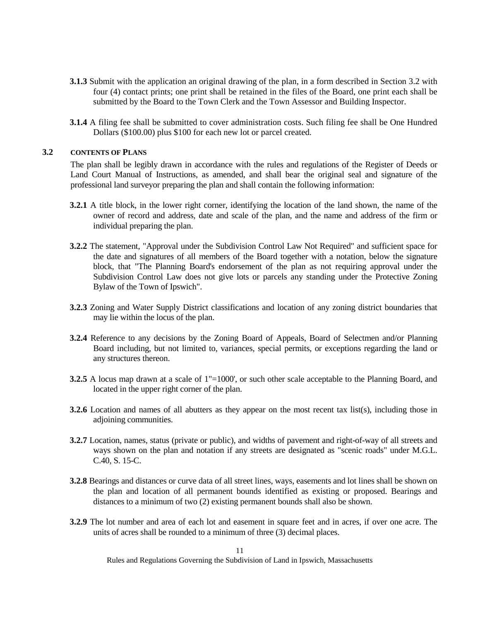- **3.1.3** Submit with the application an original drawing of the plan, in a form described in Section 3.2 with four (4) contact prints; one print shall be retained in the files of the Board, one print each shall be submitted by the Board to the Town Clerk and the Town Assessor and Building Inspector.
- **3.1.4** A filing fee shall be submitted to cover administration costs. Such filing fee shall be One Hundred Dollars (\$100.00) plus \$100 for each new lot or parcel created.

# <span id="page-10-0"></span>**3.2 CONTENTS OF PLANS**

The plan shall be legibly drawn in accordance with the rules and regulations of the Register of Deeds or Land Court Manual of Instructions, as amended, and shall bear the original seal and signature of the professional land surveyor preparing the plan and shall contain the following information:

- **3.2.1** A title block, in the lower right corner, identifying the location of the land shown, the name of the owner of record and address, date and scale of the plan, and the name and address of the firm or individual preparing the plan.
- **3.2.2** The statement, "Approval under the Subdivision Control Law Not Required" and sufficient space for the date and signatures of all members of the Board together with a notation, below the signature block, that "The Planning Board's endorsement of the plan as not requiring approval under the Subdivision Control Law does not give lots or parcels any standing under the Protective Zoning Bylaw of the Town of Ipswich".
- **3.2.3** Zoning and Water Supply District classifications and location of any zoning district boundaries that may lie within the locus of the plan.
- **3.2.4** Reference to any decisions by the Zoning Board of Appeals, Board of Selectmen and/or Planning Board including, but not limited to, variances, special permits, or exceptions regarding the land or any structures thereon.
- **3.2.5** A locus map drawn at a scale of 1"=1000', or such other scale acceptable to the Planning Board, and located in the upper right corner of the plan.
- **3.2.6** Location and names of all abutters as they appear on the most recent tax list(s), including those in adjoining communities.
- **3.2.7** Location, names, status (private or public), and widths of pavement and right-of-way of all streets and ways shown on the plan and notation if any streets are designated as "scenic roads" under M.G.L. C.40, S. 15-C.
- **3.2.8** Bearings and distances or curve data of all street lines, ways, easements and lot lines shall be shown on the plan and location of all permanent bounds identified as existing or proposed. Bearings and distances to a minimum of two (2) existing permanent bounds shall also be shown.
- **3.2.9** The lot number and area of each lot and easement in square feet and in acres, if over one acre. The units of acres shall be rounded to a minimum of three (3) decimal places.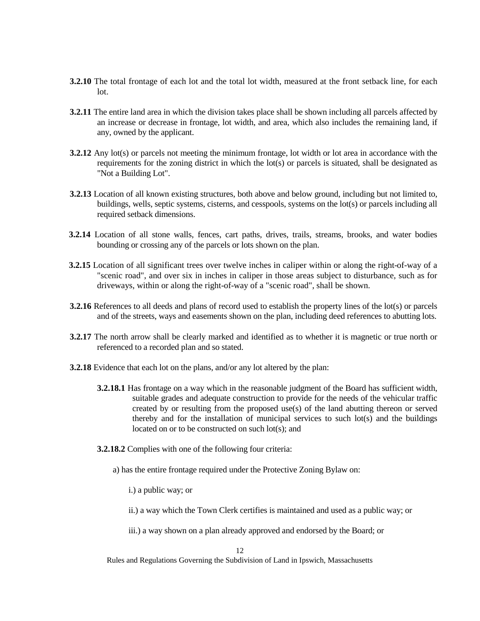- **3.2.10** The total frontage of each lot and the total lot width, measured at the front setback line, for each lot.
- **3.2.11** The entire land area in which the division takes place shall be shown including all parcels affected by an increase or decrease in frontage, lot width, and area, which also includes the remaining land, if any, owned by the applicant.
- **3.2.12** Any lot(s) or parcels not meeting the minimum frontage, lot width or lot area in accordance with the requirements for the zoning district in which the lot(s) or parcels is situated, shall be designated as "Not a Building Lot".
- **3.2.13** Location of all known existing structures, both above and below ground, including but not limited to, buildings, wells, septic systems, cisterns, and cesspools, systems on the lot(s) or parcels including all required setback dimensions.
- **3.2.14** Location of all stone walls, fences, cart paths, drives, trails, streams, brooks, and water bodies bounding or crossing any of the parcels or lots shown on the plan.
- **3.2.15** Location of all significant trees over twelve inches in caliper within or along the right-of-way of a "scenic road", and over six in inches in caliper in those areas subject to disturbance, such as for driveways, within or along the right-of-way of a "scenic road", shall be shown.
- **3.2.16** References to all deeds and plans of record used to establish the property lines of the lot(s) or parcels and of the streets, ways and easements shown on the plan, including deed references to abutting lots.
- **3.2.17** The north arrow shall be clearly marked and identified as to whether it is magnetic or true north or referenced to a recorded plan and so stated.
- **3.2.18** Evidence that each lot on the plans, and/or any lot altered by the plan:
	- **3.2.18.1** Has frontage on a way which in the reasonable judgment of the Board has sufficient width, suitable grades and adequate construction to provide for the needs of the vehicular traffic created by or resulting from the proposed use(s) of the land abutting thereon or served thereby and for the installation of municipal services to such lot(s) and the buildings located on or to be constructed on such lot(s); and
	- **3.2.18.2** Complies with one of the following four criteria:
		- a) has the entire frontage required under the Protective Zoning Bylaw on:
			- i.) a public way; or
			- ii.) a way which the Town Clerk certifies is maintained and used as a public way; or
			- iii.) a way shown on a plan already approved and endorsed by the Board; or

12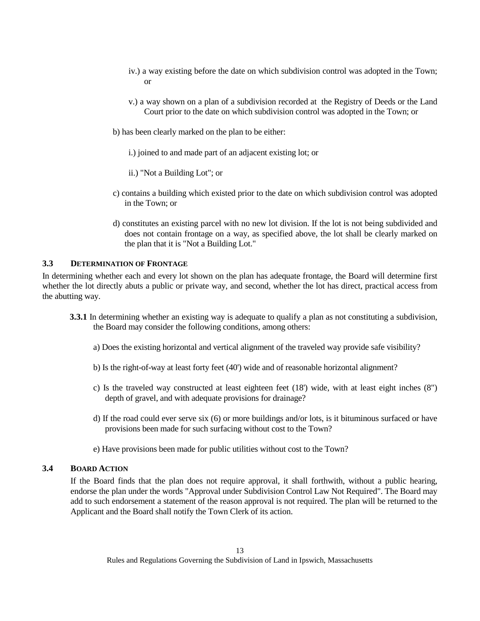- iv.) a way existing before the date on which subdivision control was adopted in the Town; or
- v.) a way shown on a plan of a subdivision recorded at the Registry of Deeds or the Land Court prior to the date on which subdivision control was adopted in the Town; or
- b) has been clearly marked on the plan to be either:
	- i.) joined to and made part of an adjacent existing lot; or
	- ii.) "Not a Building Lot"; or
- c) contains a building which existed prior to the date on which subdivision control was adopted in the Town; or
- d) constitutes an existing parcel with no new lot division. If the lot is not being subdivided and does not contain frontage on a way, as specified above, the lot shall be clearly marked on the plan that it is "Not a Building Lot."

# <span id="page-12-0"></span>**3.3 DETERMINATION OF FRONTAGE**

In determining whether each and every lot shown on the plan has adequate frontage, the Board will determine first whether the lot directly abuts a public or private way, and second, whether the lot has direct, practical access from the abutting way.

- **3.3.1** In determining whether an existing way is adequate to qualify a plan as not constituting a subdivision, the Board may consider the following conditions, among others:
	- a) Does the existing horizontal and vertical alignment of the traveled way provide safe visibility?
	- b) Is the right-of-way at least forty feet (40') wide and of reasonable horizontal alignment?
	- c) Is the traveled way constructed at least eighteen feet (18') wide, with at least eight inches (8") depth of gravel, and with adequate provisions for drainage?
	- d) If the road could ever serve six (6) or more buildings and/or lots, is it bituminous surfaced or have provisions been made for such surfacing without cost to the Town?
	- e) Have provisions been made for public utilities without cost to the Town?

## <span id="page-12-1"></span>**3.4 BOARD ACTION**

If the Board finds that the plan does not require approval, it shall forthwith, without a public hearing, endorse the plan under the words "Approval under Subdivision Control Law Not Required". The Board may add to such endorsement a statement of the reason approval is not required. The plan will be returned to the Applicant and the Board shall notify the Town Clerk of its action.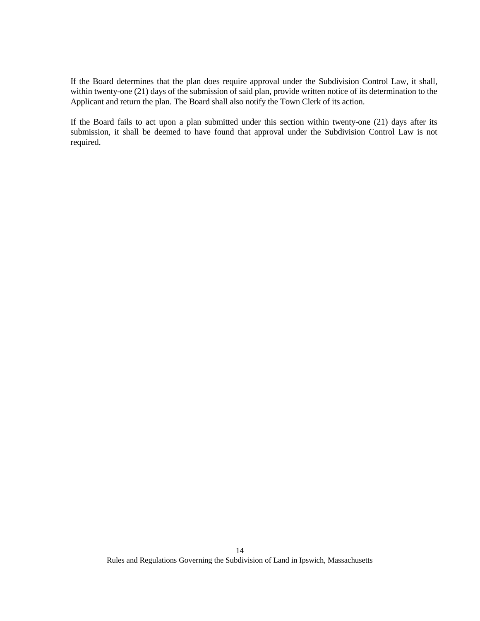If the Board determines that the plan does require approval under the Subdivision Control Law, it shall, within twenty-one (21) days of the submission of said plan, provide written notice of its determination to the Applicant and return the plan. The Board shall also notify the Town Clerk of its action.

If the Board fails to act upon a plan submitted under this section within twenty-one (21) days after its submission, it shall be deemed to have found that approval under the Subdivision Control Law is not required.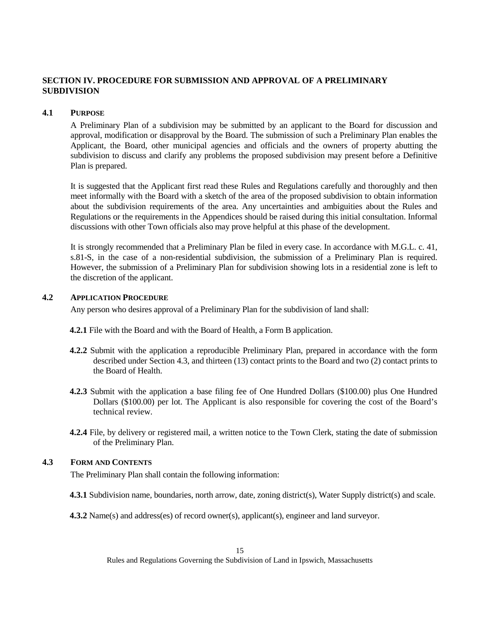# <span id="page-14-0"></span>**SECTION IV. PROCEDURE FOR SUBMISSION AND APPROVAL OF A PRELIMINARY SUBDIVISION**

# <span id="page-14-1"></span>**4.1 PURPOSE**

A Preliminary Plan of a subdivision may be submitted by an applicant to the Board for discussion and approval, modification or disapproval by the Board. The submission of such a Preliminary Plan enables the Applicant, the Board, other municipal agencies and officials and the owners of property abutting the subdivision to discuss and clarify any problems the proposed subdivision may present before a Definitive Plan is prepared.

It is suggested that the Applicant first read these Rules and Regulations carefully and thoroughly and then meet informally with the Board with a sketch of the area of the proposed subdivision to obtain information about the subdivision requirements of the area. Any uncertainties and ambiguities about the Rules and Regulations or the requirements in the Appendices should be raised during this initial consultation. Informal discussions with other Town officials also may prove helpful at this phase of the development.

It is strongly recommended that a Preliminary Plan be filed in every case. In accordance with M.G.L. c. 41, s.81-S, in the case of a non-residential subdivision, the submission of a Preliminary Plan is required. However, the submission of a Preliminary Plan for subdivision showing lots in a residential zone is left to the discretion of the applicant.

## <span id="page-14-2"></span>**4.2 APPLICATION PROCEDURE**

Any person who desires approval of a Preliminary Plan for the subdivision of land shall:

- **4.2.1** File with the Board and with the Board of Health, a Form B application.
- **4.2.2** Submit with the application a reproducible Preliminary Plan, prepared in accordance with the form described under Section 4.3, and thirteen (13) contact prints to the Board and two (2) contact prints to the Board of Health.
- **4.2.3** Submit with the application a base filing fee of One Hundred Dollars (\$100.00) plus One Hundred Dollars (\$100.00) per lot. The Applicant is also responsible for covering the cost of the Board's technical review.
- **4.2.4** File, by delivery or registered mail, a written notice to the Town Clerk, stating the date of submission of the Preliminary Plan.

# <span id="page-14-3"></span>**4.3 FORM AND CONTENTS**

The Preliminary Plan shall contain the following information:

- **4.3.1** Subdivision name, boundaries, north arrow, date, zoning district(s), Water Supply district(s) and scale.
- **4.3.2** Name(s) and address(es) of record owner(s), applicant(s), engineer and land surveyor.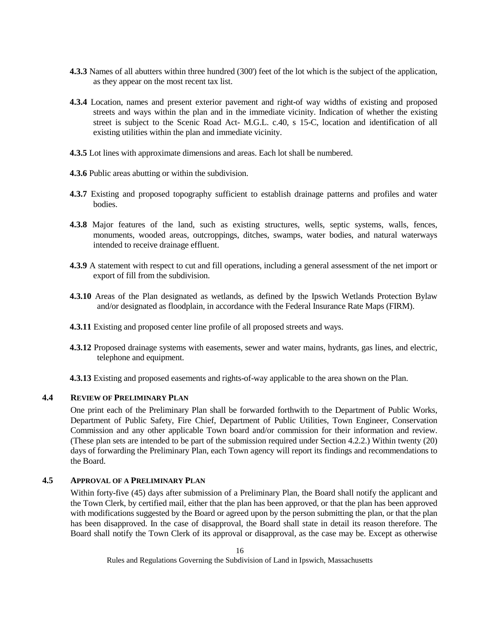- **4.3.3** Names of all abutters within three hundred (300') feet of the lot which is the subject of the application, as they appear on the most recent tax list.
- **4.3.4** Location, names and present exterior pavement and right-of way widths of existing and proposed streets and ways within the plan and in the immediate vicinity. Indication of whether the existing street is subject to the Scenic Road Act- M.G.L. c.40, s 15-C, location and identification of all existing utilities within the plan and immediate vicinity.
- **4.3.5** Lot lines with approximate dimensions and areas. Each lot shall be numbered.
- **4.3.6** Public areas abutting or within the subdivision.
- **4.3.7** Existing and proposed topography sufficient to establish drainage patterns and profiles and water bodies.
- **4.3.8** Major features of the land, such as existing structures, wells, septic systems, walls, fences, monuments, wooded areas, outcroppings, ditches, swamps, water bodies, and natural waterways intended to receive drainage effluent.
- **4.3.9** A statement with respect to cut and fill operations, including a general assessment of the net import or export of fill from the subdivision.
- **4.3.10** Areas of the Plan designated as wetlands, as defined by the Ipswich Wetlands Protection Bylaw and/or designated as floodplain, in accordance with the Federal Insurance Rate Maps (FIRM).
- **4.3.11** Existing and proposed center line profile of all proposed streets and ways.
- **4.3.12** Proposed drainage systems with easements, sewer and water mains, hydrants, gas lines, and electric, telephone and equipment.
- **4.3.13** Existing and proposed easements and rights-of-way applicable to the area shown on the Plan.

# <span id="page-15-0"></span>**4.4 REVIEW OF PRELIMINARY PLAN**

One print each of the Preliminary Plan shall be forwarded forthwith to the Department of Public Works, Department of Public Safety, Fire Chief, Department of Public Utilities, Town Engineer, Conservation Commission and any other applicable Town board and/or commission for their information and review. (These plan sets are intended to be part of the submission required under Section 4.2.2.) Within twenty (20) days of forwarding the Preliminary Plan, each Town agency will report its findings and recommendations to the Board.

# <span id="page-15-1"></span>**4.5 APPROVAL OF A PRELIMINARY PLAN**

Within forty-five (45) days after submission of a Preliminary Plan, the Board shall notify the applicant and the Town Clerk, by certified mail, either that the plan has been approved, or that the plan has been approved with modifications suggested by the Board or agreed upon by the person submitting the plan, or that the plan has been disapproved. In the case of disapproval, the Board shall state in detail its reason therefore. The Board shall notify the Town Clerk of its approval or disapproval, as the case may be. Except as otherwise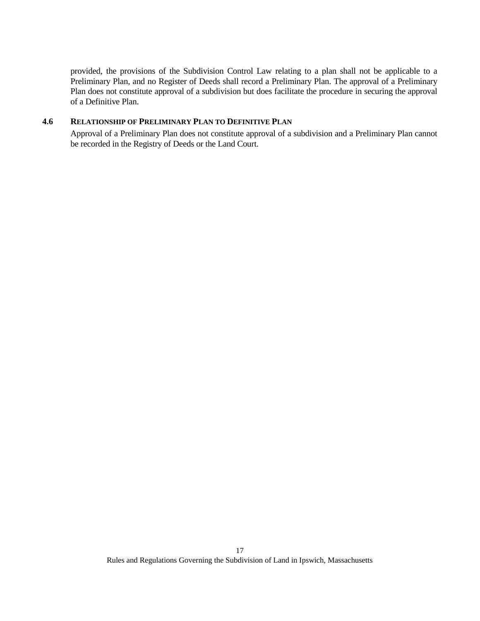provided, the provisions of the Subdivision Control Law relating to a plan shall not be applicable to a Preliminary Plan, and no Register of Deeds shall record a Preliminary Plan. The approval of a Preliminary Plan does not constitute approval of a subdivision but does facilitate the procedure in securing the approval of a Definitive Plan.

# <span id="page-16-0"></span>**4.6 RELATIONSHIP OF PRELIMINARY PLAN TO DEFINITIVE PLAN**

Approval of a Preliminary Plan does not constitute approval of a subdivision and a Preliminary Plan cannot be recorded in the Registry of Deeds or the Land Court.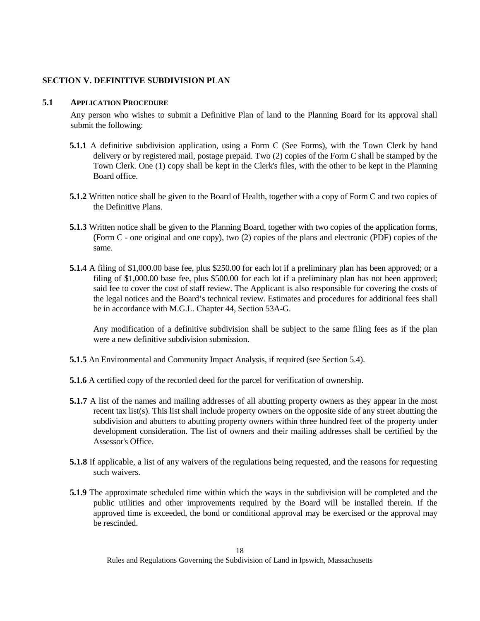# <span id="page-17-0"></span>**SECTION V. DEFINITIVE SUBDIVISION PLAN**

#### <span id="page-17-1"></span>**5.1 APPLICATION PROCEDURE**

Any person who wishes to submit a Definitive Plan of land to the Planning Board for its approval shall submit the following:

- **5.1.1** A definitive subdivision application, using a Form C (See Forms), with the Town Clerk by hand delivery or by registered mail, postage prepaid. Two (2) copies of the Form C shall be stamped by the Town Clerk. One (1) copy shall be kept in the Clerk's files, with the other to be kept in the Planning Board office.
- **5.1.2** Written notice shall be given to the Board of Health, together with a copy of Form C and two copies of the Definitive Plans.
- **5.1.3** Written notice shall be given to the Planning Board, together with two copies of the application forms, (Form C - one original and one copy), two (2) copies of the plans and electronic (PDF) copies of the same.
- **5.1.4** A filing of \$1,000.00 base fee, plus \$250.00 for each lot if a preliminary plan has been approved; or a filing of \$1,000.00 base fee, plus \$500.00 for each lot if a preliminary plan has not been approved; said fee to cover the cost of staff review. The Applicant is also responsible for covering the costs of the legal notices and the Board's technical review. Estimates and procedures for additional fees shall be in accordance with M.G.L. Chapter 44, Section 53A-G.

Any modification of a definitive subdivision shall be subject to the same filing fees as if the plan were a new definitive subdivision submission.

- **5.1.5** An Environmental and Community Impact Analysis, if required (see Section 5.4).
- **5.1.6** A certified copy of the recorded deed for the parcel for verification of ownership.
- **5.1.7** A list of the names and mailing addresses of all abutting property owners as they appear in the most recent tax list(s). This list shall include property owners on the opposite side of any street abutting the subdivision and abutters to abutting property owners within three hundred feet of the property under development consideration. The list of owners and their mailing addresses shall be certified by the Assessor's Office.
- **5.1.8** If applicable, a list of any waivers of the regulations being requested, and the reasons for requesting such waivers.
- **5.1.9** The approximate scheduled time within which the ways in the subdivision will be completed and the public utilities and other improvements required by the Board will be installed therein. If the approved time is exceeded, the bond or conditional approval may be exercised or the approval may be rescinded.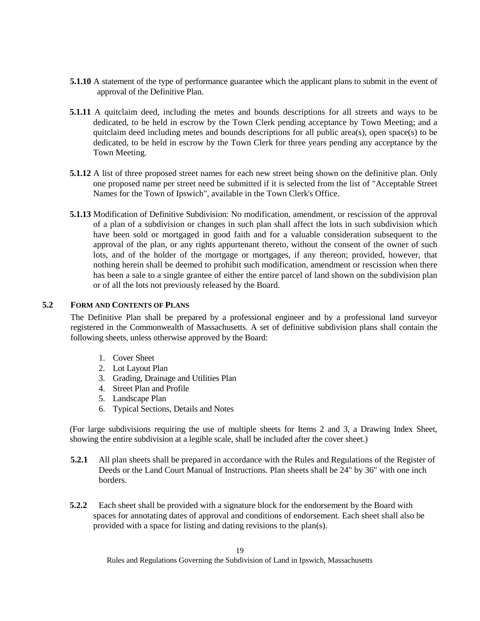- **5.1.10** A statement of the type of performance guarantee which the applicant plans to submit in the event of approval of the Definitive Plan.
- **5.1.11** A quitclaim deed, including the metes and bounds descriptions for all streets and ways to be dedicated, to be held in escrow by the Town Clerk pending acceptance by Town Meeting; and a quitclaim deed including metes and bounds descriptions for all public area(s), open space(s) to be dedicated, to be held in escrow by the Town Clerk for three years pending any acceptance by the Town Meeting.
- **5.1.12** A list of three proposed street names for each new street being shown on the definitive plan. Only one proposed name per street need be submitted if it is selected from the list of "Acceptable Street Names for the Town of Ipswich", available in the Town Clerk's Office.
- **5.1.13** Modification of Definitive Subdivision: No modification, amendment, or rescission of the approval of a plan of a subdivision or changes in such plan shall affect the lots in such subdivision which have been sold or mortgaged in good faith and for a valuable consideration subsequent to the approval of the plan, or any rights appurtenant thereto, without the consent of the owner of such lots, and of the holder of the mortgage or mortgages, if any thereon; provided, however, that nothing herein shall be deemed to prohibit such modification, amendment or rescission when there has been a sale to a single grantee of either the entire parcel of land shown on the subdivision plan or of all the lots not previously released by the Board.

# <span id="page-18-0"></span>**5.2 FORM AND CONTENTS OF PLANS**

The Definitive Plan shall be prepared by a professional engineer and by a professional land surveyor registered in the Commonwealth of Massachusetts. A set of definitive subdivision plans shall contain the following sheets, unless otherwise approved by the Board:

- 1. Cover Sheet
- 2. Lot Layout Plan
- 3. Grading, Drainage and Utilities Plan
- 4. Street Plan and Profile
- 5. Landscape Plan
- 6. Typical Sections, Details and Notes

(For large subdivisions requiring the use of multiple sheets for Items 2 and 3, a Drawing Index Sheet, showing the entire subdivision at a legible scale, shall be included after the cover sheet.)

- **5.2.1** All plan sheets shall be prepared in accordance with the Rules and Regulations of the Register of Deeds or the Land Court Manual of Instructions. Plan sheets shall be 24" by 36" with one inch borders.
- **5.2.2** Each sheet shall be provided with a signature block for the endorsement by the Board with spaces for annotating dates of approval and conditions of endorsement. Each sheet shall also be provided with a space for listing and dating revisions to the plan(s).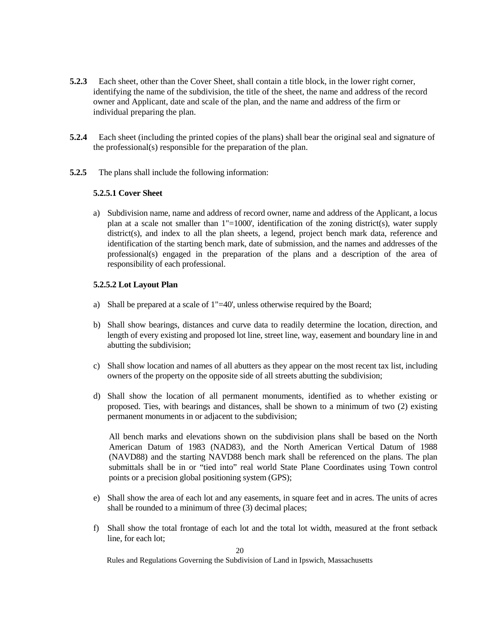- **5.2.3** Each sheet, other than the Cover Sheet, shall contain a title block, in the lower right corner, identifying the name of the subdivision, the title of the sheet, the name and address of the record owner and Applicant, date and scale of the plan, and the name and address of the firm or individual preparing the plan.
- **5.2.4** Each sheet (including the printed copies of the plans) shall bear the original seal and signature of the professional(s) responsible for the preparation of the plan.
- **5.2.5** The plans shall include the following information:

## **5.2.5.1 Cover Sheet**

a) Subdivision name, name and address of record owner, name and address of the Applicant, a locus plan at a scale not smaller than 1"=1000', identification of the zoning district(s), water supply district(s), and index to all the plan sheets, a legend, project bench mark data, reference and identification of the starting bench mark, date of submission, and the names and addresses of the professional(s) engaged in the preparation of the plans and a description of the area of responsibility of each professional.

## **5.2.5.2 Lot Layout Plan**

- a) Shall be prepared at a scale of 1"=40', unless otherwise required by the Board;
- b) Shall show bearings, distances and curve data to readily determine the location, direction, and length of every existing and proposed lot line, street line, way, easement and boundary line in and abutting the subdivision;
- c) Shall show location and names of all abutters as they appear on the most recent tax list, including owners of the property on the opposite side of all streets abutting the subdivision;
- d) Shall show the location of all permanent monuments, identified as to whether existing or proposed. Ties, with bearings and distances, shall be shown to a minimum of two (2) existing permanent monuments in or adjacent to the subdivision;

All bench marks and elevations shown on the subdivision plans shall be based on the North American Datum of 1983 (NAD83), and the North American Vertical Datum of 1988 (NAVD88) and the starting NAVD88 bench mark shall be referenced on the plans. The plan submittals shall be in or "tied into" real world State Plane Coordinates using Town control points or a precision global positioning system (GPS);

- e) Shall show the area of each lot and any easements, in square feet and in acres. The units of acres shall be rounded to a minimum of three (3) decimal places;
- f) Shall show the total frontage of each lot and the total lot width, measured at the front setback line, for each lot;

20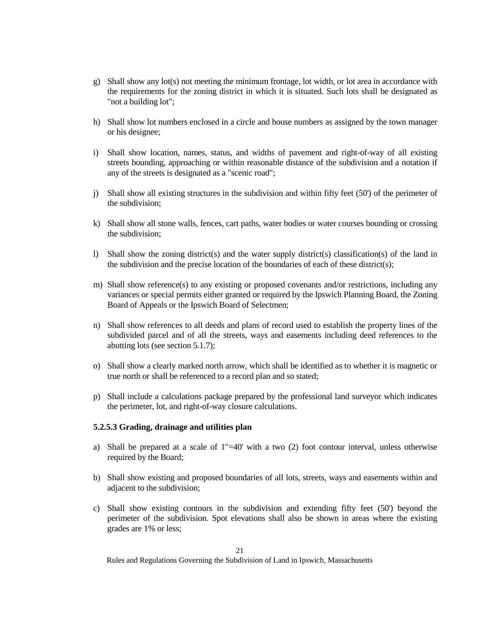- g) Shall show any lot(s) not meeting the minimum frontage, lot width, or lot area in accordance with the requirements for the zoning district in which it is situated. Such lots shall be designated as "not a building lot";
- h) Shall show lot numbers enclosed in a circle and house numbers as assigned by the town manager or his designee;
- i) Shall show location, names, status, and widths of pavement and right-of-way of all existing streets bounding, approaching or within reasonable distance of the subdivision and a notation if any of the streets is designated as a "scenic road";
- j) Shall show all existing structures in the subdivision and within fifty feet (50') of the perimeter of the subdivision;
- k) Shall show all stone walls, fences, cart paths, water bodies or water courses bounding or crossing the subdivision;
- l) Shall show the zoning district(s) and the water supply district(s) classification(s) of the land in the subdivision and the precise location of the boundaries of each of these district(s);
- m) Shall show reference(s) to any existing or proposed covenants and/or restrictions, including any variances or special permits either granted or required by the Ipswich Planning Board, the Zoning Board of Appeals or the Ipswich Board of Selectmen;
- n) Shall show references to all deeds and plans of record used to establish the property lines of the subdivided parcel and of all the streets, ways and easements including deed references to the abutting lots (see section 5.1.7);
- o) Shall show a clearly marked north arrow, which shall be identified as to whether it is magnetic or true north or shall be referenced to a record plan and so stated;
- p) Shall include a calculations package prepared by the professional land surveyor which indicates the perimeter, lot, and right-of-way closure calculations.

# **5.2.5.3 Grading, drainage and utilities plan**

- a) Shall be prepared at a scale of 1"=40' with a two (2) foot contour interval, unless otherwise required by the Board;
- b) Shall show existing and proposed boundaries of all lots, streets, ways and easements within and adjacent to the subdivision;
- c) Shall show existing contours in the subdivision and extending fifty feet (50') beyond the perimeter of the subdivision. Spot elevations shall also be shown in areas where the existing grades are 1% or less;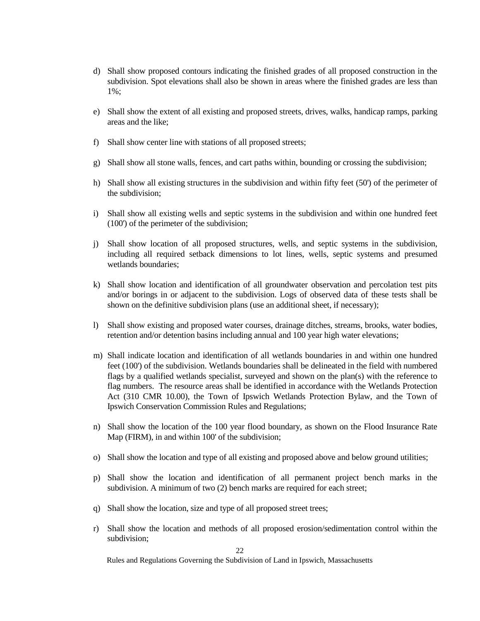- d) Shall show proposed contours indicating the finished grades of all proposed construction in the subdivision. Spot elevations shall also be shown in areas where the finished grades are less than  $1\%$ :
- e) Shall show the extent of all existing and proposed streets, drives, walks, handicap ramps, parking areas and the like;
- f) Shall show center line with stations of all proposed streets;
- g) Shall show all stone walls, fences, and cart paths within, bounding or crossing the subdivision;
- h) Shall show all existing structures in the subdivision and within fifty feet (50') of the perimeter of the subdivision;
- i) Shall show all existing wells and septic systems in the subdivision and within one hundred feet (100') of the perimeter of the subdivision;
- j) Shall show location of all proposed structures, wells, and septic systems in the subdivision, including all required setback dimensions to lot lines, wells, septic systems and presumed wetlands boundaries;
- k) Shall show location and identification of all groundwater observation and percolation test pits and/or borings in or adjacent to the subdivision. Logs of observed data of these tests shall be shown on the definitive subdivision plans (use an additional sheet, if necessary);
- l) Shall show existing and proposed water courses, drainage ditches, streams, brooks, water bodies, retention and/or detention basins including annual and 100 year high water elevations;
- m) Shall indicate location and identification of all wetlands boundaries in and within one hundred feet (100') of the subdivision. Wetlands boundaries shall be delineated in the field with numbered flags by a qualified wetlands specialist, surveyed and shown on the plan(s) with the reference to flag numbers. The resource areas shall be identified in accordance with the Wetlands Protection Act (310 CMR 10.00), the Town of Ipswich Wetlands Protection Bylaw, and the Town of Ipswich Conservation Commission Rules and Regulations;
- n) Shall show the location of the 100 year flood boundary, as shown on the Flood Insurance Rate Map (FIRM), in and within 100' of the subdivision;
- o) Shall show the location and type of all existing and proposed above and below ground utilities;
- p) Shall show the location and identification of all permanent project bench marks in the subdivision. A minimum of two (2) bench marks are required for each street;
- q) Shall show the location, size and type of all proposed street trees;
- r) Shall show the location and methods of all proposed erosion/sedimentation control within the subdivision;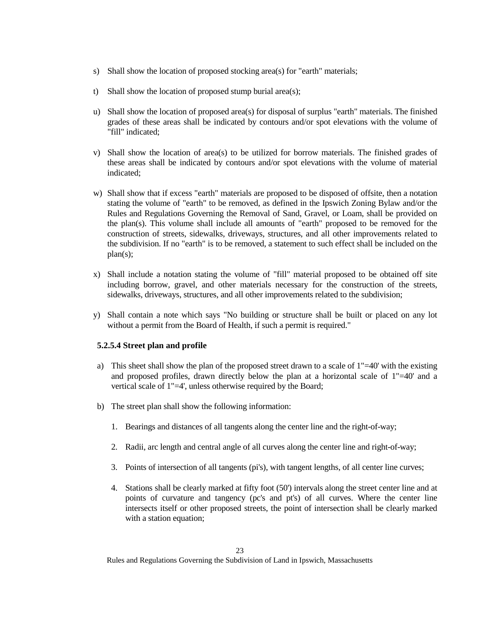- s) Shall show the location of proposed stocking area(s) for "earth" materials;
- t) Shall show the location of proposed stump burial area(s);
- u) Shall show the location of proposed area(s) for disposal of surplus "earth" materials. The finished grades of these areas shall be indicated by contours and/or spot elevations with the volume of "fill" indicated;
- v) Shall show the location of area(s) to be utilized for borrow materials. The finished grades of these areas shall be indicated by contours and/or spot elevations with the volume of material indicated;
- w) Shall show that if excess "earth" materials are proposed to be disposed of offsite, then a notation stating the volume of "earth" to be removed, as defined in the Ipswich Zoning Bylaw and/or the Rules and Regulations Governing the Removal of Sand, Gravel, or Loam, shall be provided on the plan(s). This volume shall include all amounts of "earth" proposed to be removed for the construction of streets, sidewalks, driveways, structures, and all other improvements related to the subdivision. If no "earth" is to be removed, a statement to such effect shall be included on the plan(s);
- x) Shall include a notation stating the volume of "fill" material proposed to be obtained off site including borrow, gravel, and other materials necessary for the construction of the streets, sidewalks, driveways, structures, and all other improvements related to the subdivision;
- y) Shall contain a note which says "No building or structure shall be built or placed on any lot without a permit from the Board of Health, if such a permit is required."

## **5.2.5.4 Street plan and profile**

- a) This sheet shall show the plan of the proposed street drawn to a scale of  $1"=\overline{40}$ ' with the existing and proposed profiles, drawn directly below the plan at a horizontal scale of 1"=40' and a vertical scale of 1"=4', unless otherwise required by the Board;
- b) The street plan shall show the following information:
	- 1. Bearings and distances of all tangents along the center line and the right-of-way;
	- 2. Radii, arc length and central angle of all curves along the center line and right-of-way;
	- 3. Points of intersection of all tangents (pi's), with tangent lengths, of all center line curves;
	- 4. Stations shall be clearly marked at fifty foot (50') intervals along the street center line and at points of curvature and tangency (pc's and pt's) of all curves. Where the center line intersects itself or other proposed streets, the point of intersection shall be clearly marked with a station equation;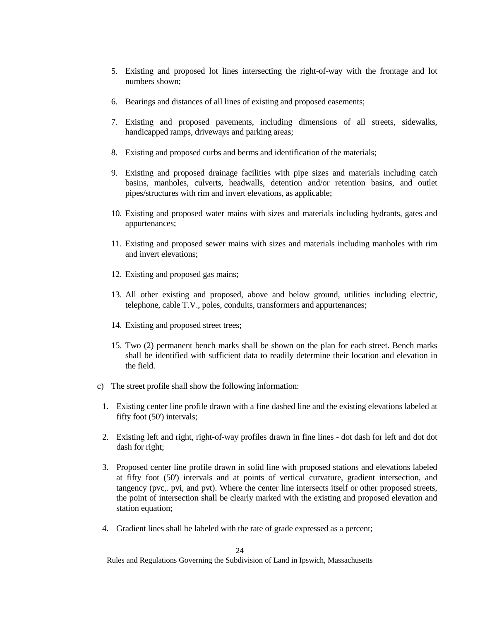- 5. Existing and proposed lot lines intersecting the right-of-way with the frontage and lot numbers shown;
- 6. Bearings and distances of all lines of existing and proposed easements;
- 7. Existing and proposed pavements, including dimensions of all streets, sidewalks, handicapped ramps, driveways and parking areas;
- 8. Existing and proposed curbs and berms and identification of the materials;
- 9. Existing and proposed drainage facilities with pipe sizes and materials including catch basins, manholes, culverts, headwalls, detention and/or retention basins, and outlet pipes/structures with rim and invert elevations, as applicable;
- 10. Existing and proposed water mains with sizes and materials including hydrants, gates and appurtenances;
- 11. Existing and proposed sewer mains with sizes and materials including manholes with rim and invert elevations;
- 12. Existing and proposed gas mains;
- 13. All other existing and proposed, above and below ground, utilities including electric, telephone, cable T.V., poles, conduits, transformers and appurtenances;
- 14. Existing and proposed street trees;
- 15. Two (2) permanent bench marks shall be shown on the plan for each street. Bench marks shall be identified with sufficient data to readily determine their location and elevation in the field.
- c) The street profile shall show the following information:
	- 1. Existing center line profile drawn with a fine dashed line and the existing elevations labeled at fifty foot (50') intervals;
	- 2. Existing left and right, right-of-way profiles drawn in fine lines dot dash for left and dot dot dash for right;
	- 3. Proposed center line profile drawn in solid line with proposed stations and elevations labeled at fifty foot (50') intervals and at points of vertical curvature, gradient intersection, and tangency (pvc,. pvi, and pvt). Where the center line intersects itself or other proposed streets, the point of intersection shall be clearly marked with the existing and proposed elevation and station equation;
	- 4. Gradient lines shall be labeled with the rate of grade expressed as a percent;

24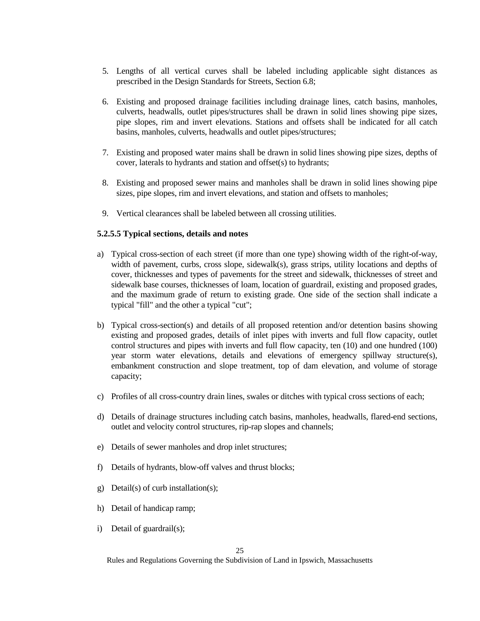- 5. Lengths of all vertical curves shall be labeled including applicable sight distances as prescribed in the Design Standards for Streets, Section 6.8;
- 6. Existing and proposed drainage facilities including drainage lines, catch basins, manholes, culverts, headwalls, outlet pipes/structures shall be drawn in solid lines showing pipe sizes, pipe slopes, rim and invert elevations. Stations and offsets shall be indicated for all catch basins, manholes, culverts, headwalls and outlet pipes/structures;
- 7. Existing and proposed water mains shall be drawn in solid lines showing pipe sizes, depths of cover, laterals to hydrants and station and offset(s) to hydrants;
- 8. Existing and proposed sewer mains and manholes shall be drawn in solid lines showing pipe sizes, pipe slopes, rim and invert elevations, and station and offsets to manholes;
- 9. Vertical clearances shall be labeled between all crossing utilities.

## **5.2.5.5 Typical sections, details and notes**

- a) Typical cross-section of each street (if more than one type) showing width of the right-of-way, width of pavement, curbs, cross slope, sidewalk(s), grass strips, utility locations and depths of cover, thicknesses and types of pavements for the street and sidewalk, thicknesses of street and sidewalk base courses, thicknesses of loam, location of guardrail, existing and proposed grades, and the maximum grade of return to existing grade. One side of the section shall indicate a typical "fill" and the other a typical "cut";
- b) Typical cross-section(s) and details of all proposed retention and/or detention basins showing existing and proposed grades, details of inlet pipes with inverts and full flow capacity, outlet control structures and pipes with inverts and full flow capacity, ten (10) and one hundred (100) year storm water elevations, details and elevations of emergency spillway structure(s), embankment construction and slope treatment, top of dam elevation, and volume of storage capacity;
- c) Profiles of all cross-country drain lines, swales or ditches with typical cross sections of each;
- d) Details of drainage structures including catch basins, manholes, headwalls, flared-end sections, outlet and velocity control structures, rip-rap slopes and channels;
- e) Details of sewer manholes and drop inlet structures;
- f) Details of hydrants, blow-off valves and thrust blocks;
- g) Detail(s) of curb installation(s);
- h) Detail of handicap ramp;
- i) Detail of guardrail(s);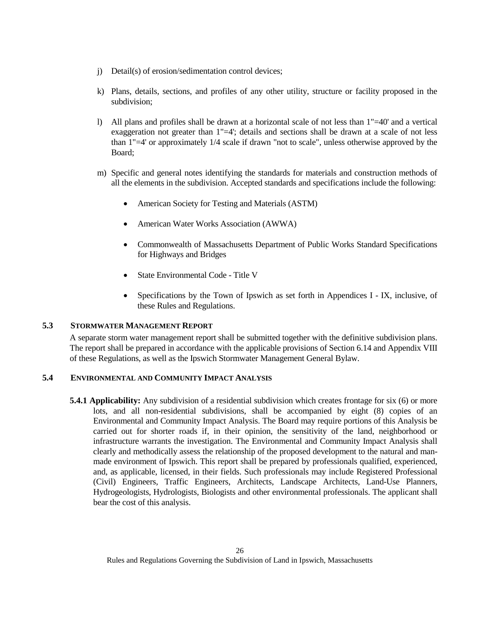- j) Detail(s) of erosion/sedimentation control devices;
- k) Plans, details, sections, and profiles of any other utility, structure or facility proposed in the subdivision;
- l) All plans and profiles shall be drawn at a horizontal scale of not less than 1"=40' and a vertical exaggeration not greater than 1"=4'; details and sections shall be drawn at a scale of not less than 1"=4' or approximately 1/4 scale if drawn "not to scale", unless otherwise approved by the Board;
- m) Specific and general notes identifying the standards for materials and construction methods of all the elements in the subdivision. Accepted standards and specifications include the following:
	- American Society for Testing and Materials (ASTM)
	- American Water Works Association (AWWA)
	- Commonwealth of Massachusetts Department of Public Works Standard Specifications for Highways and Bridges
	- State Environmental Code Title V
	- Specifications by the Town of Ipswich as set forth in Appendices I IX, inclusive, of these Rules and Regulations.

# <span id="page-25-0"></span>**5.3 STORMWATER MANAGEMENT REPORT**

A separate storm water management report shall be submitted together with the definitive subdivision plans. The report shall be prepared in accordance with the applicable provisions of Section 6.14 and Appendix VIII of these Regulations, as well as the Ipswich Stormwater Management General Bylaw.

# <span id="page-25-1"></span>**5.4 ENVIRONMENTAL AND COMMUNITY IMPACT ANALYSIS**

**5.4.1 Applicability:** Any subdivision of a residential subdivision which creates frontage for six (6) or more lots, and all non-residential subdivisions, shall be accompanied by eight (8) copies of an Environmental and Community Impact Analysis. The Board may require portions of this Analysis be carried out for shorter roads if, in their opinion, the sensitivity of the land, neighborhood or infrastructure warrants the investigation. The Environmental and Community Impact Analysis shall clearly and methodically assess the relationship of the proposed development to the natural and manmade environment of Ipswich. This report shall be prepared by professionals qualified, experienced, and, as applicable, licensed, in their fields. Such professionals may include Registered Professional (Civil) Engineers, Traffic Engineers, Architects, Landscape Architects, Land-Use Planners, Hydrogeologists, Hydrologists, Biologists and other environmental professionals. The applicant shall bear the cost of this analysis.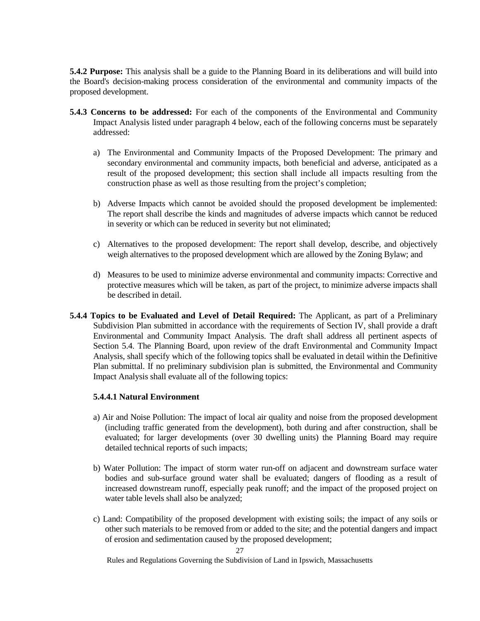**5.4.2 Purpose:** This analysis shall be a guide to the Planning Board in its deliberations and will build into the Board's decision-making process consideration of the environmental and community impacts of the proposed development.

- **5.4.3 Concerns to be addressed:** For each of the components of the Environmental and Community Impact Analysis listed under paragraph 4 below, each of the following concerns must be separately addressed:
	- a) The Environmental and Community Impacts of the Proposed Development: The primary and secondary environmental and community impacts, both beneficial and adverse, anticipated as a result of the proposed development; this section shall include all impacts resulting from the construction phase as well as those resulting from the project's completion;
	- b) Adverse Impacts which cannot be avoided should the proposed development be implemented: The report shall describe the kinds and magnitudes of adverse impacts which cannot be reduced in severity or which can be reduced in severity but not eliminated;
	- c) Alternatives to the proposed development: The report shall develop, describe, and objectively weigh alternatives to the proposed development which are allowed by the Zoning Bylaw; and
	- d) Measures to be used to minimize adverse environmental and community impacts: Corrective and protective measures which will be taken, as part of the project, to minimize adverse impacts shall be described in detail.
- **5.4.4 Topics to be Evaluated and Level of Detail Required:** The Applicant, as part of a Preliminary Subdivision Plan submitted in accordance with the requirements of Section IV, shall provide a draft Environmental and Community Impact Analysis. The draft shall address all pertinent aspects of Section 5.4. The Planning Board, upon review of the draft Environmental and Community Impact Analysis, shall specify which of the following topics shall be evaluated in detail within the Definitive Plan submittal. If no preliminary subdivision plan is submitted, the Environmental and Community Impact Analysis shall evaluate all of the following topics:

## **5.4.4.1 Natural Environment**

- a) Air and Noise Pollution: The impact of local air quality and noise from the proposed development (including traffic generated from the development), both during and after construction, shall be evaluated; for larger developments (over 30 dwelling units) the Planning Board may require detailed technical reports of such impacts;
- b) Water Pollution: The impact of storm water run-off on adjacent and downstream surface water bodies and sub-surface ground water shall be evaluated; dangers of flooding as a result of increased downstream runoff, especially peak runoff; and the impact of the proposed project on water table levels shall also be analyzed;
- c) Land: Compatibility of the proposed development with existing soils; the impact of any soils or other such materials to be removed from or added to the site; and the potential dangers and impact of erosion and sedimentation caused by the proposed development;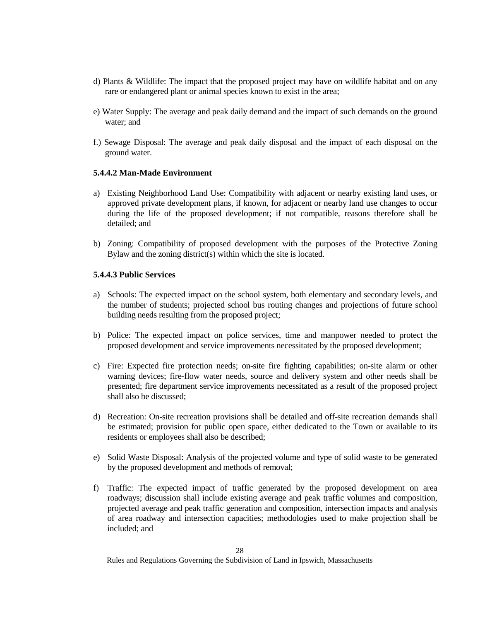- d) Plants & Wildlife: The impact that the proposed project may have on wildlife habitat and on any rare or endangered plant or animal species known to exist in the area;
- e) Water Supply: The average and peak daily demand and the impact of such demands on the ground water; and
- f.) Sewage Disposal: The average and peak daily disposal and the impact of each disposal on the ground water.

# **5.4.4.2 Man-Made Environment**

- a) Existing Neighborhood Land Use: Compatibility with adjacent or nearby existing land uses, or approved private development plans, if known, for adjacent or nearby land use changes to occur during the life of the proposed development; if not compatible, reasons therefore shall be detailed; and
- b) Zoning: Compatibility of proposed development with the purposes of the Protective Zoning Bylaw and the zoning district(s) within which the site is located.

## **5.4.4.3 Public Services**

- a) Schools: The expected impact on the school system, both elementary and secondary levels, and the number of students; projected school bus routing changes and projections of future school building needs resulting from the proposed project;
- b) Police: The expected impact on police services, time and manpower needed to protect the proposed development and service improvements necessitated by the proposed development;
- c) Fire: Expected fire protection needs; on-site fire fighting capabilities; on-site alarm or other warning devices; fire-flow water needs, source and delivery system and other needs shall be presented; fire department service improvements necessitated as a result of the proposed project shall also be discussed;
- d) Recreation: On-site recreation provisions shall be detailed and off-site recreation demands shall be estimated; provision for public open space, either dedicated to the Town or available to its residents or employees shall also be described;
- e) Solid Waste Disposal: Analysis of the projected volume and type of solid waste to be generated by the proposed development and methods of removal;
- f) Traffic: The expected impact of traffic generated by the proposed development on area roadways; discussion shall include existing average and peak traffic volumes and composition, projected average and peak traffic generation and composition, intersection impacts and analysis of area roadway and intersection capacities; methodologies used to make projection shall be included; and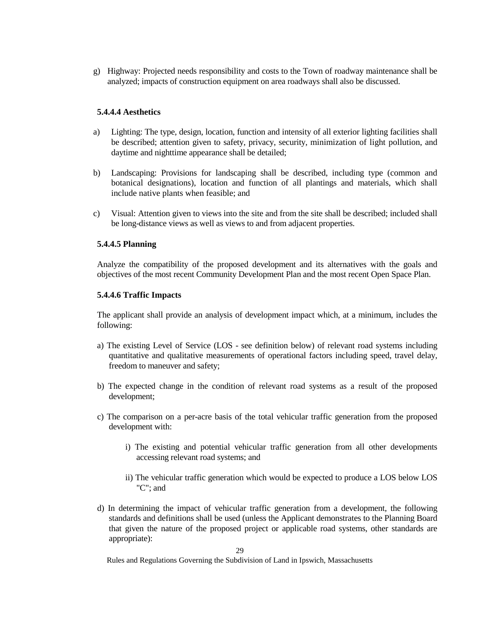g) Highway: Projected needs responsibility and costs to the Town of roadway maintenance shall be analyzed; impacts of construction equipment on area roadways shall also be discussed.

# **5.4.4.4 Aesthetics**

- a) Lighting: The type, design, location, function and intensity of all exterior lighting facilities shall be described; attention given to safety, privacy, security, minimization of light pollution, and daytime and nighttime appearance shall be detailed;
- b) Landscaping: Provisions for landscaping shall be described, including type (common and botanical designations), location and function of all plantings and materials, which shall include native plants when feasible; and
- c) Visual: Attention given to views into the site and from the site shall be described; included shall be long-distance views as well as views to and from adjacent properties.

## **5.4.4.5 Planning**

Analyze the compatibility of the proposed development and its alternatives with the goals and objectives of the most recent Community Development Plan and the most recent Open Space Plan.

## **5.4.4.6 Traffic Impacts**

The applicant shall provide an analysis of development impact which, at a minimum, includes the following:

- a) The existing Level of Service (LOS see definition below) of relevant road systems including quantitative and qualitative measurements of operational factors including speed, travel delay, freedom to maneuver and safety;
- b) The expected change in the condition of relevant road systems as a result of the proposed development;
- c) The comparison on a per-acre basis of the total vehicular traffic generation from the proposed development with:
	- i) The existing and potential vehicular traffic generation from all other developments accessing relevant road systems; and
	- ii) The vehicular traffic generation which would be expected to produce a LOS below LOS "C"; and
- d) In determining the impact of vehicular traffic generation from a development, the following standards and definitions shall be used (unless the Applicant demonstrates to the Planning Board that given the nature of the proposed project or applicable road systems, other standards are appropriate):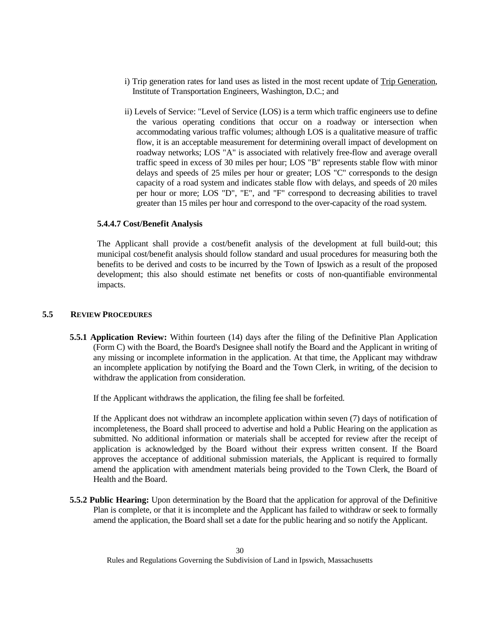- i) Trip generation rates for land uses as listed in the most recent update of Trip Generation, Institute of Transportation Engineers, Washington, D.C.; and
- ii) Levels of Service: "Level of Service (LOS) is a term which traffic engineers use to define the various operating conditions that occur on a roadway or intersection when accommodating various traffic volumes; although LOS is a qualitative measure of traffic flow, it is an acceptable measurement for determining overall impact of development on roadway networks; LOS "A" is associated with relatively free-flow and average overall traffic speed in excess of 30 miles per hour; LOS "B" represents stable flow with minor delays and speeds of 25 miles per hour or greater; LOS "C" corresponds to the design capacity of a road system and indicates stable flow with delays, and speeds of 20 miles per hour or more; LOS "D", "E", and "F" correspond to decreasing abilities to travel greater than 15 miles per hour and correspond to the over-capacity of the road system.

## **5.4.4.7 Cost/Benefit Analysis**

The Applicant shall provide a cost/benefit analysis of the development at full build-out; this municipal cost/benefit analysis should follow standard and usual procedures for measuring both the benefits to be derived and costs to be incurred by the Town of Ipswich as a result of the proposed development; this also should estimate net benefits or costs of non-quantifiable environmental impacts.

## <span id="page-29-0"></span>**5.5 REVIEW PROCEDURES**

**5.5.1 Application Review:** Within fourteen (14) days after the filing of the Definitive Plan Application (Form C) with the Board, the Board's Designee shall notify the Board and the Applicant in writing of any missing or incomplete information in the application. At that time, the Applicant may withdraw an incomplete application by notifying the Board and the Town Clerk, in writing, of the decision to withdraw the application from consideration.

If the Applicant withdraws the application, the filing fee shall be forfeited.

If the Applicant does not withdraw an incomplete application within seven (7) days of notification of incompleteness, the Board shall proceed to advertise and hold a Public Hearing on the application as submitted. No additional information or materials shall be accepted for review after the receipt of application is acknowledged by the Board without their express written consent. If the Board approves the acceptance of additional submission materials, the Applicant is required to formally amend the application with amendment materials being provided to the Town Clerk, the Board of Health and the Board.

**5.5.2 Public Hearing:** Upon determination by the Board that the application for approval of the Definitive Plan is complete, or that it is incomplete and the Applicant has failed to withdraw or seek to formally amend the application, the Board shall set a date for the public hearing and so notify the Applicant.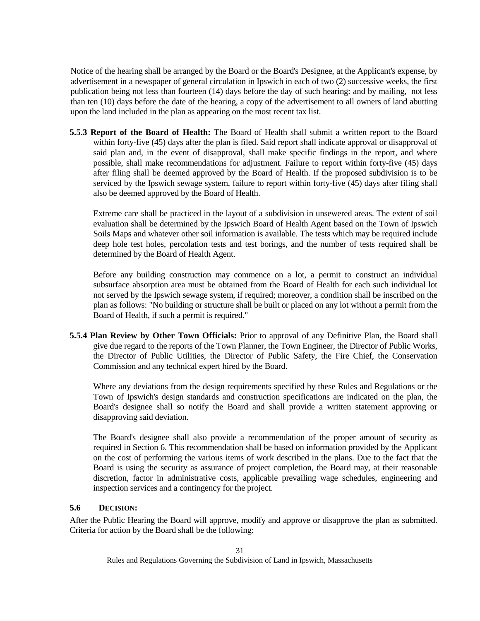Notice of the hearing shall be arranged by the Board or the Board's Designee, at the Applicant's expense, by advertisement in a newspaper of general circulation in Ipswich in each of two (2) successive weeks, the first publication being not less than fourteen (14) days before the day of such hearing: and by mailing, not less than ten (10) days before the date of the hearing, a copy of the advertisement to all owners of land abutting upon the land included in the plan as appearing on the most recent tax list.

**5.5.3 Report of the Board of Health:** The Board of Health shall submit a written report to the Board within forty-five (45) days after the plan is filed. Said report shall indicate approval or disapproval of said plan and, in the event of disapproval, shall make specific findings in the report, and where possible, shall make recommendations for adjustment. Failure to report within forty-five (45) days after filing shall be deemed approved by the Board of Health. If the proposed subdivision is to be serviced by the Ipswich sewage system, failure to report within forty-five (45) days after filing shall also be deemed approved by the Board of Health.

Extreme care shall be practiced in the layout of a subdivision in unsewered areas. The extent of soil evaluation shall be determined by the Ipswich Board of Health Agent based on the Town of Ipswich Soils Maps and whatever other soil information is available. The tests which may be required include deep hole test holes, percolation tests and test borings, and the number of tests required shall be determined by the Board of Health Agent.

Before any building construction may commence on a lot, a permit to construct an individual subsurface absorption area must be obtained from the Board of Health for each such individual lot not served by the Ipswich sewage system, if required; moreover, a condition shall be inscribed on the plan as follows: "No building or structure shall be built or placed on any lot without a permit from the Board of Health, if such a permit is required."

**5.5.4 Plan Review by Other Town Officials:** Prior to approval of any Definitive Plan, the Board shall give due regard to the reports of the Town Planner, the Town Engineer, the Director of Public Works, the Director of Public Utilities, the Director of Public Safety, the Fire Chief, the Conservation Commission and any technical expert hired by the Board.

Where any deviations from the design requirements specified by these Rules and Regulations or the Town of Ipswich's design standards and construction specifications are indicated on the plan, the Board's designee shall so notify the Board and shall provide a written statement approving or disapproving said deviation.

The Board's designee shall also provide a recommendation of the proper amount of security as required in Section 6. This recommendation shall be based on information provided by the Applicant on the cost of performing the various items of work described in the plans. Due to the fact that the Board is using the security as assurance of project completion, the Board may, at their reasonable discretion, factor in administrative costs, applicable prevailing wage schedules, engineering and inspection services and a contingency for the project.

# <span id="page-30-0"></span>**5.6 DECISION:**

After the Public Hearing the Board will approve, modify and approve or disapprove the plan as submitted. Criteria for action by the Board shall be the following: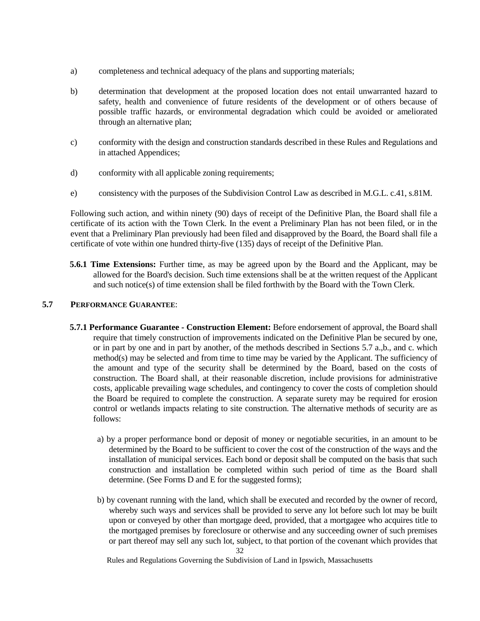- a) completeness and technical adequacy of the plans and supporting materials;
- b) determination that development at the proposed location does not entail unwarranted hazard to safety, health and convenience of future residents of the development or of others because of possible traffic hazards, or environmental degradation which could be avoided or ameliorated through an alternative plan;
- c) conformity with the design and construction standards described in these Rules and Regulations and in attached Appendices;
- d) conformity with all applicable zoning requirements;
- e) consistency with the purposes of the Subdivision Control Law as described in M.G.L. c.41, s.81M.

Following such action, and within ninety (90) days of receipt of the Definitive Plan, the Board shall file a certificate of its action with the Town Clerk. In the event a Preliminary Plan has not been filed, or in the event that a Preliminary Plan previously had been filed and disapproved by the Board, the Board shall file a certificate of vote within one hundred thirty-five (135) days of receipt of the Definitive Plan.

**5.6.1 Time Extensions:** Further time, as may be agreed upon by the Board and the Applicant, may be allowed for the Board's decision. Such time extensions shall be at the written request of the Applicant and such notice(s) of time extension shall be filed forthwith by the Board with the Town Clerk.

# <span id="page-31-0"></span>**5.7 PERFORMANCE GUARANTEE**:

- **5.7.1 Performance Guarantee - Construction Element:** Before endorsement of approval, the Board shall require that timely construction of improvements indicated on the Definitive Plan be secured by one, or in part by one and in part by another, of the methods described in Sections 5.7 a.,b., and c. which method(s) may be selected and from time to time may be varied by the Applicant. The sufficiency of the amount and type of the security shall be determined by the Board, based on the costs of construction. The Board shall, at their reasonable discretion, include provisions for administrative costs, applicable prevailing wage schedules, and contingency to cover the costs of completion should the Board be required to complete the construction. A separate surety may be required for erosion control or wetlands impacts relating to site construction. The alternative methods of security are as follows:
	- a) by a proper performance bond or deposit of money or negotiable securities, in an amount to be determined by the Board to be sufficient to cover the cost of the construction of the ways and the installation of municipal services. Each bond or deposit shall be computed on the basis that such construction and installation be completed within such period of time as the Board shall determine. (See Forms D and E for the suggested forms);
	- 32 b) by covenant running with the land, which shall be executed and recorded by the owner of record, whereby such ways and services shall be provided to serve any lot before such lot may be built upon or conveyed by other than mortgage deed, provided, that a mortgagee who acquires title to the mortgaged premises by foreclosure or otherwise and any succeeding owner of such premises or part thereof may sell any such lot, subject, to that portion of the covenant which provides that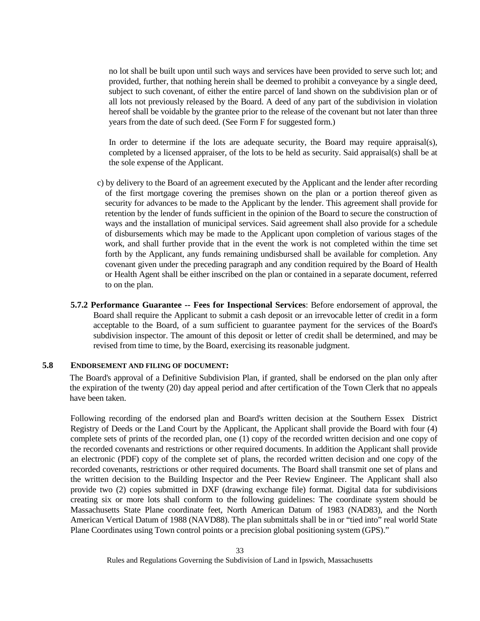no lot shall be built upon until such ways and services have been provided to serve such lot; and provided, further, that nothing herein shall be deemed to prohibit a conveyance by a single deed, subject to such covenant, of either the entire parcel of land shown on the subdivision plan or of all lots not previously released by the Board. A deed of any part of the subdivision in violation hereof shall be voidable by the grantee prior to the release of the covenant but not later than three years from the date of such deed. (See Form F for suggested form.)

In order to determine if the lots are adequate security, the Board may require appraisal(s), completed by a licensed appraiser, of the lots to be held as security. Said appraisal(s) shall be at the sole expense of the Applicant.

- c) by delivery to the Board of an agreement executed by the Applicant and the lender after recording of the first mortgage covering the premises shown on the plan or a portion thereof given as security for advances to be made to the Applicant by the lender. This agreement shall provide for retention by the lender of funds sufficient in the opinion of the Board to secure the construction of ways and the installation of municipal services. Said agreement shall also provide for a schedule of disbursements which may be made to the Applicant upon completion of various stages of the work, and shall further provide that in the event the work is not completed within the time set forth by the Applicant, any funds remaining undisbursed shall be available for completion. Any covenant given under the preceding paragraph and any condition required by the Board of Health or Health Agent shall be either inscribed on the plan or contained in a separate document, referred to on the plan.
- **5.7.2 Performance Guarantee -- Fees for Inspectional Services**: Before endorsement of approval, the Board shall require the Applicant to submit a cash deposit or an irrevocable letter of credit in a form acceptable to the Board, of a sum sufficient to guarantee payment for the services of the Board's subdivision inspector. The amount of this deposit or letter of credit shall be determined, and may be revised from time to time, by the Board, exercising its reasonable judgment.

#### <span id="page-32-0"></span>**5.8 ENDORSEMENT AND FILING OF DOCUMENT:**

The Board's approval of a Definitive Subdivision Plan, if granted, shall be endorsed on the plan only after the expiration of the twenty (20) day appeal period and after certification of the Town Clerk that no appeals have been taken.

Following recording of the endorsed plan and Board's written decision at the Southern Essex District Registry of Deeds or the Land Court by the Applicant, the Applicant shall provide the Board with four (4) complete sets of prints of the recorded plan, one (1) copy of the recorded written decision and one copy of the recorded covenants and restrictions or other required documents. In addition the Applicant shall provide an electronic (PDF) copy of the complete set of plans, the recorded written decision and one copy of the recorded covenants, restrictions or other required documents. The Board shall transmit one set of plans and the written decision to the Building Inspector and the Peer Review Engineer. The Applicant shall also provide two (2) copies submitted in DXF (drawing exchange file) format. Digital data for subdivisions creating six or more lots shall conform to the following guidelines: The coordinate system should be Massachusetts State Plane coordinate feet, North American Datum of 1983 (NAD83), and the North American Vertical Datum of 1988 (NAVD88). The plan submittals shall be in or "tied into" real world State Plane Coordinates using Town control points or a precision global positioning system (GPS)."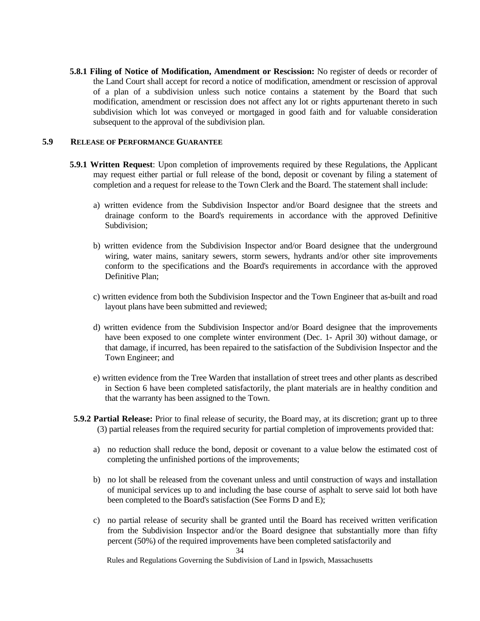**5.8.1 Filing of Notice of Modification, Amendment or Rescission:** No register of deeds or recorder of the Land Court shall accept for record a notice of modification, amendment or rescission of approval of a plan of a subdivision unless such notice contains a statement by the Board that such modification, amendment or rescission does not affect any lot or rights appurtenant thereto in such subdivision which lot was conveyed or mortgaged in good faith and for valuable consideration subsequent to the approval of the subdivision plan.

## <span id="page-33-0"></span>**5.9 RELEASE OF PERFORMANCE GUARANTEE**

- **5.9.1 Written Request**: Upon completion of improvements required by these Regulations, the Applicant may request either partial or full release of the bond, deposit or covenant by filing a statement of completion and a request for release to the Town Clerk and the Board. The statement shall include:
	- a) written evidence from the Subdivision Inspector and/or Board designee that the streets and drainage conform to the Board's requirements in accordance with the approved Definitive Subdivision;
	- b) written evidence from the Subdivision Inspector and/or Board designee that the underground wiring, water mains, sanitary sewers, storm sewers, hydrants and/or other site improvements conform to the specifications and the Board's requirements in accordance with the approved Definitive Plan;
	- c) written evidence from both the Subdivision Inspector and the Town Engineer that as-built and road layout plans have been submitted and reviewed;
	- d) written evidence from the Subdivision Inspector and/or Board designee that the improvements have been exposed to one complete winter environment (Dec. 1- April 30) without damage, or that damage, if incurred, has been repaired to the satisfaction of the Subdivision Inspector and the Town Engineer; and
	- e) written evidence from the Tree Warden that installation of street trees and other plants as described in Section 6 have been completed satisfactorily, the plant materials are in healthy condition and that the warranty has been assigned to the Town.
- **5.9.2 Partial Release:** Prior to final release of security, the Board may, at its discretion; grant up to three (3) partial releases from the required security for partial completion of improvements provided that:
	- a) no reduction shall reduce the bond, deposit or covenant to a value below the estimated cost of completing the unfinished portions of the improvements;
	- b) no lot shall be released from the covenant unless and until construction of ways and installation of municipal services up to and including the base course of asphalt to serve said lot both have been completed to the Board's satisfaction (See Forms D and E);
	- c) no partial release of security shall be granted until the Board has received written verification from the Subdivision Inspector and/or the Board designee that substantially more than fifty percent (50%) of the required improvements have been completed satisfactorily and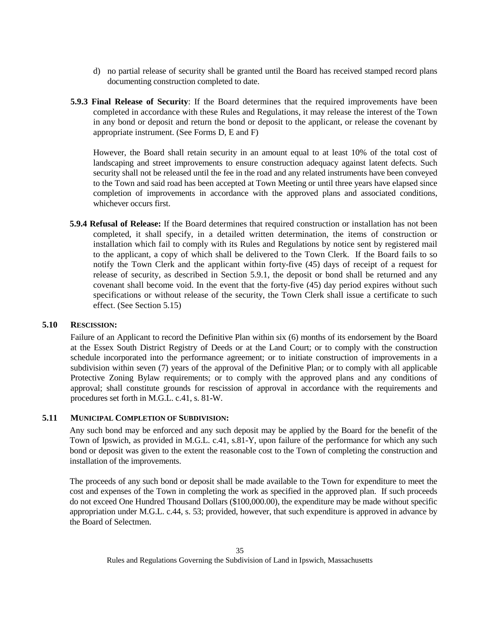- d) no partial release of security shall be granted until the Board has received stamped record plans documenting construction completed to date.
- **5.9.3 Final Release of Security**: If the Board determines that the required improvements have been completed in accordance with these Rules and Regulations, it may release the interest of the Town in any bond or deposit and return the bond or deposit to the applicant, or release the covenant by appropriate instrument. (See Forms D, E and F)

However, the Board shall retain security in an amount equal to at least 10% of the total cost of landscaping and street improvements to ensure construction adequacy against latent defects. Such security shall not be released until the fee in the road and any related instruments have been conveyed to the Town and said road has been accepted at Town Meeting or until three years have elapsed since completion of improvements in accordance with the approved plans and associated conditions, whichever occurs first.

**5.9.4 Refusal of Release:** If the Board determines that required construction or installation has not been completed, it shall specify, in a detailed written determination, the items of construction or installation which fail to comply with its Rules and Regulations by notice sent by registered mail to the applicant, a copy of which shall be delivered to the Town Clerk. If the Board fails to so notify the Town Clerk and the applicant within forty-five (45) days of receipt of a request for release of security, as described in Section 5.9.1, the deposit or bond shall be returned and any covenant shall become void. In the event that the forty-five (45) day period expires without such specifications or without release of the security, the Town Clerk shall issue a certificate to such effect. (See Section 5.15)

## <span id="page-34-0"></span>**5.10 RESCISSION:**

Failure of an Applicant to record the Definitive Plan within six (6) months of its endorsement by the Board at the Essex South District Registry of Deeds or at the Land Court; or to comply with the construction schedule incorporated into the performance agreement; or to initiate construction of improvements in a subdivision within seven (7) years of the approval of the Definitive Plan; or to comply with all applicable Protective Zoning Bylaw requirements; or to comply with the approved plans and any conditions of approval; shall constitute grounds for rescission of approval in accordance with the requirements and procedures set forth in M.G.L. c.41, s. 81-W.

# <span id="page-34-1"></span>**5.11 MUNICIPAL COMPLETION OF SUBDIVISION:**

Any such bond may be enforced and any such deposit may be applied by the Board for the benefit of the Town of Ipswich, as provided in M.G.L. c.41, s.81-Y, upon failure of the performance for which any such bond or deposit was given to the extent the reasonable cost to the Town of completing the construction and installation of the improvements.

The proceeds of any such bond or deposit shall be made available to the Town for expenditure to meet the cost and expenses of the Town in completing the work as specified in the approved plan. If such proceeds do not exceed One Hundred Thousand Dollars (\$100,000.00), the expenditure may be made without specific appropriation under M.G.L. c.44, s. 53; provided, however, that such expenditure is approved in advance by the Board of Selectmen.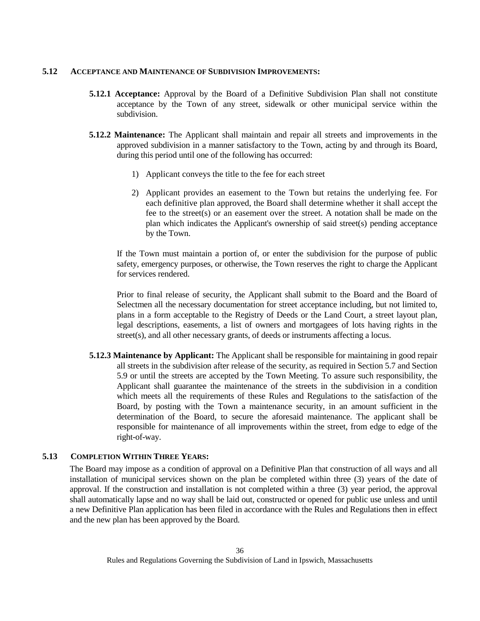## <span id="page-35-0"></span>**5.12 ACCEPTANCE AND MAINTENANCE OF SUBDIVISION IMPROVEMENTS:**

- **5.12.1 Acceptance:** Approval by the Board of a Definitive Subdivision Plan shall not constitute acceptance by the Town of any street, sidewalk or other municipal service within the subdivision.
- **5.12.2 Maintenance:** The Applicant shall maintain and repair all streets and improvements in the approved subdivision in a manner satisfactory to the Town, acting by and through its Board, during this period until one of the following has occurred:
	- 1) Applicant conveys the title to the fee for each street
	- 2) Applicant provides an easement to the Town but retains the underlying fee. For each definitive plan approved, the Board shall determine whether it shall accept the fee to the street(s) or an easement over the street. A notation shall be made on the plan which indicates the Applicant's ownership of said street(s) pending acceptance by the Town.

If the Town must maintain a portion of, or enter the subdivision for the purpose of public safety, emergency purposes, or otherwise, the Town reserves the right to charge the Applicant for services rendered.

Prior to final release of security, the Applicant shall submit to the Board and the Board of Selectmen all the necessary documentation for street acceptance including, but not limited to, plans in a form acceptable to the Registry of Deeds or the Land Court, a street layout plan, legal descriptions, easements, a list of owners and mortgagees of lots having rights in the street(s), and all other necessary grants, of deeds or instruments affecting a locus.

**5.12.3 Maintenance by Applicant:** The Applicant shall be responsible for maintaining in good repair all streets in the subdivision after release of the security, as required in Section 5.7 and Section 5.9 or until the streets are accepted by the Town Meeting. To assure such responsibility, the Applicant shall guarantee the maintenance of the streets in the subdivision in a condition which meets all the requirements of these Rules and Regulations to the satisfaction of the Board, by posting with the Town a maintenance security, in an amount sufficient in the determination of the Board, to secure the aforesaid maintenance. The applicant shall be responsible for maintenance of all improvements within the street, from edge to edge of the right-of-way.

## <span id="page-35-1"></span>**5.13 COMPLETION WITHIN THREE YEARS:**

The Board may impose as a condition of approval on a Definitive Plan that construction of all ways and all installation of municipal services shown on the plan be completed within three (3) years of the date of approval. If the construction and installation is not completed within a three (3) year period, the approval shall automatically lapse and no way shall be laid out, constructed or opened for public use unless and until a new Definitive Plan application has been filed in accordance with the Rules and Regulations then in effect and the new plan has been approved by the Board.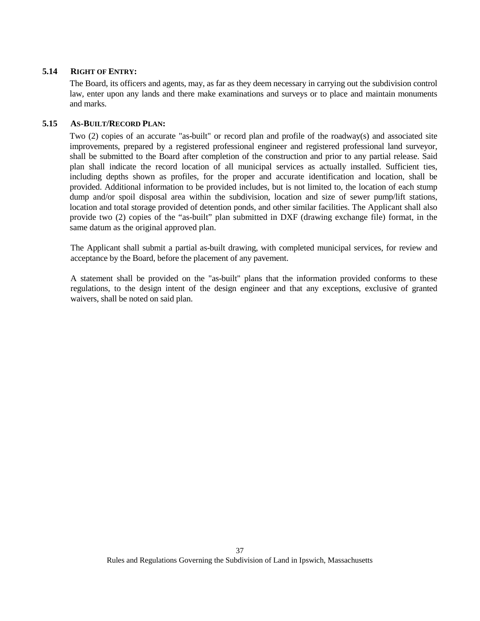### **5.14 RIGHT OF ENTRY:**

The Board, its officers and agents, may, as far as they deem necessary in carrying out the subdivision control law, enter upon any lands and there make examinations and surveys or to place and maintain monuments and marks.

### **5.15 AS-BUILT/RECORD PLAN:**

Two (2) copies of an accurate "as-built" or record plan and profile of the roadway(s) and associated site improvements, prepared by a registered professional engineer and registered professional land surveyor, shall be submitted to the Board after completion of the construction and prior to any partial release. Said plan shall indicate the record location of all municipal services as actually installed. Sufficient ties, including depths shown as profiles, for the proper and accurate identification and location, shall be provided. Additional information to be provided includes, but is not limited to, the location of each stump dump and/or spoil disposal area within the subdivision, location and size of sewer pump/lift stations, location and total storage provided of detention ponds, and other similar facilities. The Applicant shall also provide two (2) copies of the "as-built" plan submitted in DXF (drawing exchange file) format, in the same datum as the original approved plan.

The Applicant shall submit a partial as-built drawing, with completed municipal services, for review and acceptance by the Board, before the placement of any pavement.

A statement shall be provided on the "as-built" plans that the information provided conforms to these regulations, to the design intent of the design engineer and that any exceptions, exclusive of granted waivers, shall be noted on said plan.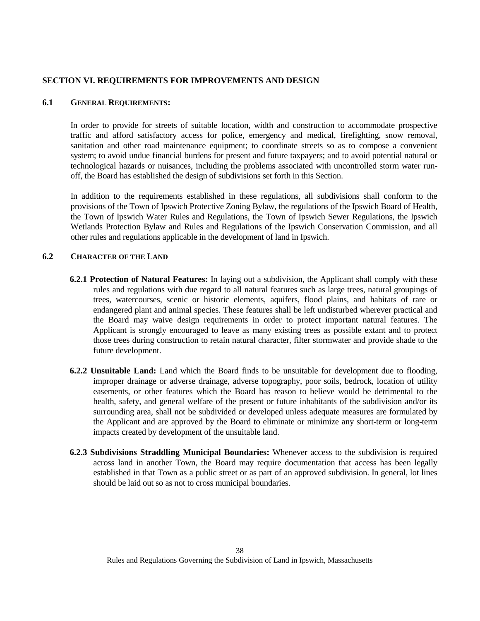#### **SECTION VI. REQUIREMENTS FOR IMPROVEMENTS AND DESIGN**

#### **6.1 GENERAL REQUIREMENTS:**

In order to provide for streets of suitable location, width and construction to accommodate prospective traffic and afford satisfactory access for police, emergency and medical, firefighting, snow removal, sanitation and other road maintenance equipment; to coordinate streets so as to compose a convenient system; to avoid undue financial burdens for present and future taxpayers; and to avoid potential natural or technological hazards or nuisances, including the problems associated with uncontrolled storm water runoff, the Board has established the design of subdivisions set forth in this Section.

In addition to the requirements established in these regulations, all subdivisions shall conform to the provisions of the Town of Ipswich Protective Zoning Bylaw, the regulations of the Ipswich Board of Health, the Town of Ipswich Water Rules and Regulations, the Town of Ipswich Sewer Regulations, the Ipswich Wetlands Protection Bylaw and Rules and Regulations of the Ipswich Conservation Commission, and all other rules and regulations applicable in the development of land in Ipswich.

## **6.2 CHARACTER OF THE LAND**

- **6.2.1 Protection of Natural Features:** In laying out a subdivision, the Applicant shall comply with these rules and regulations with due regard to all natural features such as large trees, natural groupings of trees, watercourses, scenic or historic elements, aquifers, flood plains, and habitats of rare or endangered plant and animal species. These features shall be left undisturbed wherever practical and the Board may waive design requirements in order to protect important natural features. The Applicant is strongly encouraged to leave as many existing trees as possible extant and to protect those trees during construction to retain natural character, filter stormwater and provide shade to the future development.
- **6.2.2 Unsuitable Land:** Land which the Board finds to be unsuitable for development due to flooding, improper drainage or adverse drainage, adverse topography, poor soils, bedrock, location of utility easements, or other features which the Board has reason to believe would be detrimental to the health, safety, and general welfare of the present or future inhabitants of the subdivision and/or its surrounding area, shall not be subdivided or developed unless adequate measures are formulated by the Applicant and are approved by the Board to eliminate or minimize any short-term or long-term impacts created by development of the unsuitable land.
- **6.2.3 Subdivisions Straddling Municipal Boundaries:** Whenever access to the subdivision is required across land in another Town, the Board may require documentation that access has been legally established in that Town as a public street or as part of an approved subdivision. In general, lot lines should be laid out so as not to cross municipal boundaries.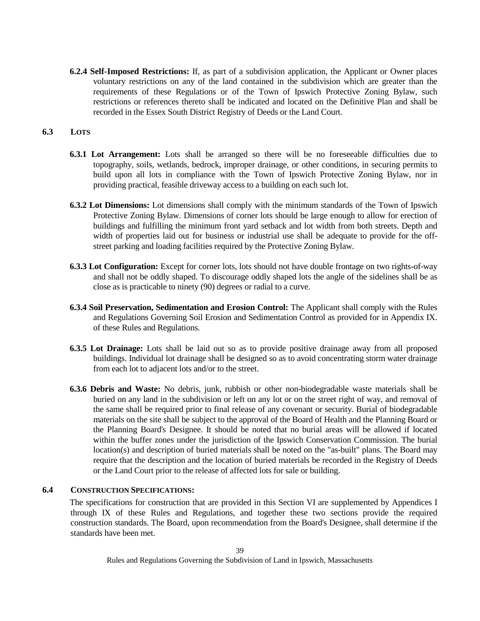**6.2.4 Self-Imposed Restrictions:** If, as part of a subdivision application, the Applicant or Owner places voluntary restrictions on any of the land contained in the subdivision which are greater than the requirements of these Regulations or of the Town of Ipswich Protective Zoning Bylaw, such restrictions or references thereto shall be indicated and located on the Definitive Plan and shall be recorded in the Essex South District Registry of Deeds or the Land Court.

### **6.3 LOTS**

- **6.3.1 Lot Arrangement:** Lots shall be arranged so there will be no foreseeable difficulties due to topography, soils, wetlands, bedrock, improper drainage, or other conditions, in securing permits to build upon all lots in compliance with the Town of Ipswich Protective Zoning Bylaw, nor in providing practical, feasible driveway access to a building on each such lot.
- **6.3.2 Lot Dimensions:** Lot dimensions shall comply with the minimum standards of the Town of Ipswich Protective Zoning Bylaw. Dimensions of corner lots should be large enough to allow for erection of buildings and fulfilling the minimum front yard setback and lot width from both streets. Depth and width of properties laid out for business or industrial use shall be adequate to provide for the offstreet parking and loading facilities required by the Protective Zoning Bylaw.
- **6.3.3 Lot Configuration:** Except for corner lots, lots should not have double frontage on two rights-of-way and shall not be oddly shaped. To discourage oddly shaped lots the angle of the sidelines shall be as close as is practicable to ninety (90) degrees or radial to a curve.
- **6.3.4 Soil Preservation, Sedimentation and Erosion Control:** The Applicant shall comply with the Rules and Regulations Governing Soil Erosion and Sedimentation Control as provided for in Appendix IX. of these Rules and Regulations.
- **6.3.5 Lot Drainage:** Lots shall be laid out so as to provide positive drainage away from all proposed buildings. Individual lot drainage shall be designed so as to avoid concentrating storm water drainage from each lot to adjacent lots and/or to the street.
- **6.3.6 Debris and Waste:** No debris, junk, rubbish or other non-biodegradable waste materials shall be buried on any land in the subdivision or left on any lot or on the street right of way, and removal of the same shall be required prior to final release of any covenant or security. Burial of biodegradable materials on the site shall be subject to the approval of the Board of Health and the Planning Board or the Planning Board's Designee. It should be noted that no burial areas will be allowed if located within the buffer zones under the jurisdiction of the Ipswich Conservation Commission. The burial location(s) and description of buried materials shall be noted on the "as-built" plans. The Board may require that the description and the location of buried materials be recorded in the Registry of Deeds or the Land Court prior to the release of affected lots for sale or building.

#### **6.4 CONSTRUCTION SPECIFICATIONS:**

The specifications for construction that are provided in this Section VI are supplemented by Appendices I through IX of these Rules and Regulations, and together these two sections provide the required construction standards. The Board, upon recommendation from the Board's Designee, shall determine if the standards have been met.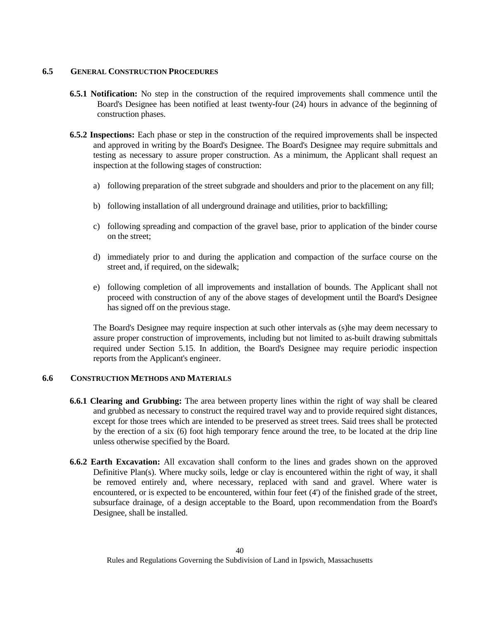### **6.5 GENERAL CONSTRUCTION PROCEDURES**

- **6.5.1 Notification:** No step in the construction of the required improvements shall commence until the Board's Designee has been notified at least twenty-four (24) hours in advance of the beginning of construction phases.
- **6.5.2 Inspections:** Each phase or step in the construction of the required improvements shall be inspected and approved in writing by the Board's Designee. The Board's Designee may require submittals and testing as necessary to assure proper construction. As a minimum, the Applicant shall request an inspection at the following stages of construction:
	- a) following preparation of the street subgrade and shoulders and prior to the placement on any fill;
	- b) following installation of all underground drainage and utilities, prior to backfilling;
	- c) following spreading and compaction of the gravel base, prior to application of the binder course on the street;
	- d) immediately prior to and during the application and compaction of the surface course on the street and, if required, on the sidewalk;
	- e) following completion of all improvements and installation of bounds. The Applicant shall not proceed with construction of any of the above stages of development until the Board's Designee has signed off on the previous stage.

The Board's Designee may require inspection at such other intervals as (s)he may deem necessary to assure proper construction of improvements, including but not limited to as-built drawing submittals required under Section 5.15. In addition, the Board's Designee may require periodic inspection reports from the Applicant's engineer.

#### **6.6 CONSTRUCTION METHODS AND MATERIALS**

- **6.6.1 Clearing and Grubbing:** The area between property lines within the right of way shall be cleared and grubbed as necessary to construct the required travel way and to provide required sight distances, except for those trees which are intended to be preserved as street trees. Said trees shall be protected by the erection of a six (6) foot high temporary fence around the tree, to be located at the drip line unless otherwise specified by the Board.
- **6.6.2 Earth Excavation:** All excavation shall conform to the lines and grades shown on the approved Definitive Plan(s). Where mucky soils, ledge or clay is encountered within the right of way, it shall be removed entirely and, where necessary, replaced with sand and gravel. Where water is encountered, or is expected to be encountered, within four feet (4') of the finished grade of the street, subsurface drainage, of a design acceptable to the Board, upon recommendation from the Board's Designee, shall be installed.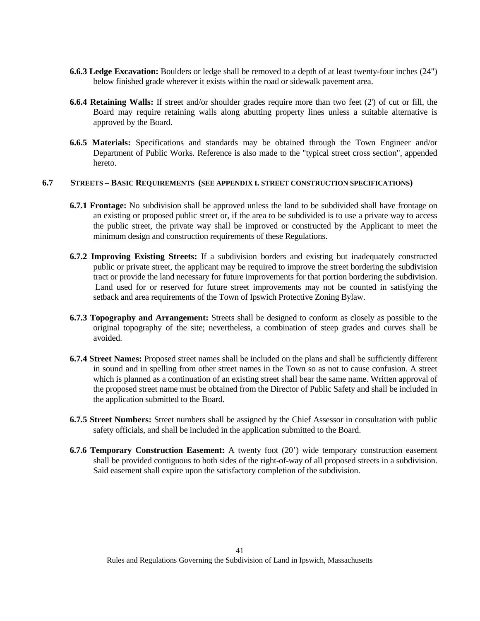- **6.6.3 Ledge Excavation:** Boulders or ledge shall be removed to a depth of at least twenty-four inches (24") below finished grade wherever it exists within the road or sidewalk pavement area.
- **6.6.4 Retaining Walls:** If street and/or shoulder grades require more than two feet (2') of cut or fill, the Board may require retaining walls along abutting property lines unless a suitable alternative is approved by the Board.
- **6.6.5 Materials:** Specifications and standards may be obtained through the Town Engineer and/or Department of Public Works. Reference is also made to the "typical street cross section", appended hereto.

#### **6.7 STREETS – BASIC REQUIREMENTS (SEE APPENDIX I. STREET CONSTRUCTION SPECIFICATIONS)**

- **6.7.1 Frontage:** No subdivision shall be approved unless the land to be subdivided shall have frontage on an existing or proposed public street or, if the area to be subdivided is to use a private way to access the public street, the private way shall be improved or constructed by the Applicant to meet the minimum design and construction requirements of these Regulations.
- **6.7.2 Improving Existing Streets:** If a subdivision borders and existing but inadequately constructed public or private street, the applicant may be required to improve the street bordering the subdivision tract or provide the land necessary for future improvements for that portion bordering the subdivision. Land used for or reserved for future street improvements may not be counted in satisfying the setback and area requirements of the Town of Ipswich Protective Zoning Bylaw.
- **6.7.3 Topography and Arrangement:** Streets shall be designed to conform as closely as possible to the original topography of the site; nevertheless, a combination of steep grades and curves shall be avoided.
- **6.7.4 Street Names:** Proposed street names shall be included on the plans and shall be sufficiently different in sound and in spelling from other street names in the Town so as not to cause confusion. A street which is planned as a continuation of an existing street shall bear the same name. Written approval of the proposed street name must be obtained from the Director of Public Safety and shall be included in the application submitted to the Board.
- **6.7.5 Street Numbers:** Street numbers shall be assigned by the Chief Assessor in consultation with public safety officials, and shall be included in the application submitted to the Board.
- **6.7.6 Temporary Construction Easement:** A twenty foot (20') wide temporary construction easement shall be provided contiguous to both sides of the right-of-way of all proposed streets in a subdivision. Said easement shall expire upon the satisfactory completion of the subdivision.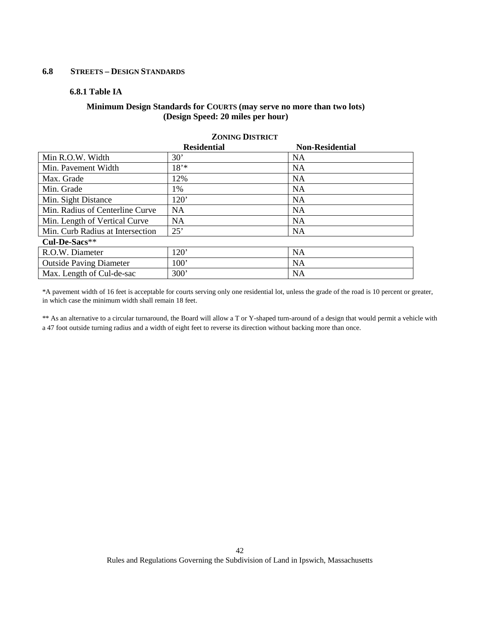#### **6.8 STREETS – DESIGN STANDARDS**

#### **6.8.1 Table IA**

### **Minimum Design Standards for COURTS (may serve no more than two lots) (Design Speed: 20 miles per hour)**

| ZORIN DRING                      |                    |                        |
|----------------------------------|--------------------|------------------------|
|                                  | <b>Residential</b> | <b>Non-Residential</b> |
| Min R.O.W. Width                 | $30^{\circ}$       | <b>NA</b>              |
| Min. Pavement Width              | $18'$ *            | <b>NA</b>              |
| Max. Grade                       | 12%                | <b>NA</b>              |
| Min. Grade                       | 1%                 | <b>NA</b>              |
| Min. Sight Distance              | 120'               | <b>NA</b>              |
| Min. Radius of Centerline Curve  | NA                 | <b>NA</b>              |
| Min. Length of Vertical Curve    | <b>NA</b>          | <b>NA</b>              |
| Min. Curb Radius at Intersection | 25'                | <b>NA</b>              |
| Cul-De-Sacs**                    |                    |                        |
| R.O.W. Diameter                  | 120'               | <b>NA</b>              |
| <b>Outside Paving Diameter</b>   | 100'               | <b>NA</b>              |
| Max. Length of Cul-de-sac        | 300'               | <b>NA</b>              |

#### **ZONING DISTRICT**

\*A pavement width of 16 feet is acceptable for courts serving only one residential lot, unless the grade of the road is 10 percent or greater, in which case the minimum width shall remain 18 feet.

\*\* As an alternative to a circular turnaround, the Board will allow a T or Y-shaped turn-around of a design that would permit a vehicle with a 47 foot outside turning radius and a width of eight feet to reverse its direction without backing more than once.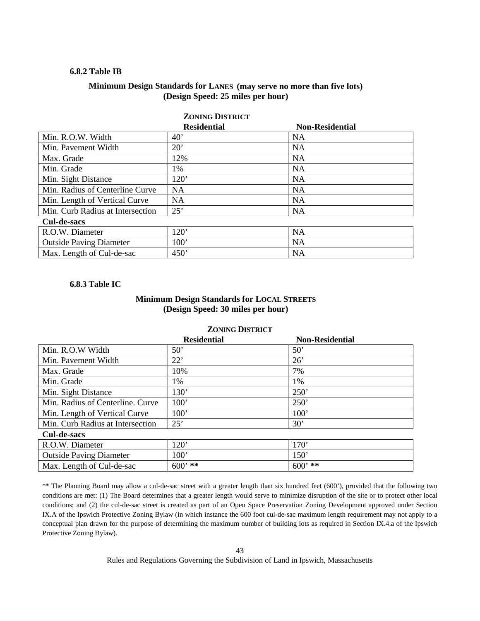### **6.8.2 Table IB**

## **Minimum Design Standards for LANES (may serve no more than five lots) (Design Speed: 25 miles per hour)**

|                                  | <b>ZONING DISTRICT</b> |                        |
|----------------------------------|------------------------|------------------------|
|                                  | <b>Residential</b>     | <b>Non-Residential</b> |
| Min. R.O.W. Width                | $40^{\circ}$           | <b>NA</b>              |
| Min. Pavement Width              | 20'                    | <b>NA</b>              |
| Max. Grade                       | 12%                    | <b>NA</b>              |
| Min. Grade                       | 1%                     | <b>NA</b>              |
| Min. Sight Distance              | 120'                   | <b>NA</b>              |
| Min. Radius of Centerline Curve  | <b>NA</b>              | <b>NA</b>              |
| Min. Length of Vertical Curve    | <b>NA</b>              | <b>NA</b>              |
| Min. Curb Radius at Intersection | 25'                    | <b>NA</b>              |
| <b>Cul-de-sacs</b>               |                        |                        |
| R.O.W. Diameter                  | 120'                   | <b>NA</b>              |
| <b>Outside Paving Diameter</b>   | 100'                   | <b>NA</b>              |
| Max. Length of Cul-de-sac        | 450'                   | <b>NA</b>              |

#### **6.8.3 Table IC**

## **Minimum Design Standards for LOCAL STREETS (Design Speed: 30 miles per hour)**

#### **ZONING DISTRICT**

| <b>Residential</b> | <b>Non-Residential</b> |
|--------------------|------------------------|
| 50 <sup>'</sup>    | $50^{\circ}$           |
| 22'                | 26'                    |
| 10%                | 7%                     |
| 1%                 | 1%                     |
| 130'               | 250'                   |
| 100'               | 250'                   |
| 100'               | 100'                   |
| 25'                | 30'                    |
|                    |                        |
| 120'               | 170'                   |
| 100'               | 150'                   |
| $600$ '**          | $600$ ' **             |
|                    |                        |

\*\* The Planning Board may allow a cul-de-sac street with a greater length than six hundred feet (600'), provided that the following two conditions are met: (1) The Board determines that a greater length would serve to minimize disruption of the site or to protect other local conditions; and (2) the cul-de-sac street is created as part of an Open Space Preservation Zoning Development approved under Section IX.A of the Ipswich Protective Zoning Bylaw (in which instance the 600 foot cul-de-sac maximum length requirement may not apply to a conceptual plan drawn for the purpose of determining the maximum number of building lots as required in Section IX.4.a of the Ipswich Protective Zoning Bylaw).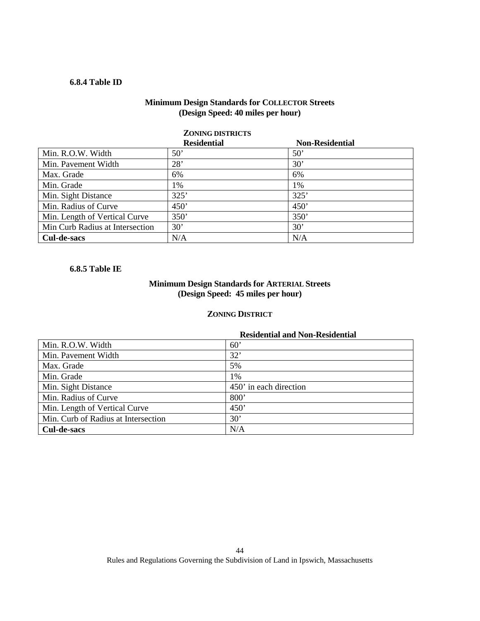## **6.8.4 Table ID**

### **Minimum Design Standards for COLLECTOR Streets (Design Speed: 40 miles per hour)**

|                                 | <b>ZONING DISTRICTS</b> |                        |
|---------------------------------|-------------------------|------------------------|
|                                 | <b>Residential</b>      | <b>Non-Residential</b> |
| Min. R.O.W. Width               | $50^{\circ}$            | 50'                    |
| Min. Pavement Width             | 28'                     | 30'                    |
| Max. Grade                      | 6%                      | 6%                     |
| Min. Grade                      | 1%                      | 1%                     |
| Min. Sight Distance             | 325'                    | 325'                   |
| Min. Radius of Curve            | 450'                    | 450'                   |
| Min. Length of Vertical Curve   | 350'                    | 350'                   |
| Min Curb Radius at Intersection | 30'                     | 30'                    |
| <b>Cul-de-sacs</b>              | N/A                     | N/A                    |

# **6.8.5 Table IE**

# **Minimum Design Standards for ARTERIAL Streets (Design Speed: 45 miles per hour)**

#### **ZONING DISTRICT**

#### **Residential and Non-Residential**

| Min. R.O.W. Width                   | 60'                    |
|-------------------------------------|------------------------|
| Min. Pavement Width                 | 32'                    |
| Max. Grade                          | 5%                     |
| Min. Grade                          | 1%                     |
| Min. Sight Distance                 | 450' in each direction |
| Min. Radius of Curve                | 800'                   |
| Min. Length of Vertical Curve       | 450'                   |
| Min. Curb of Radius at Intersection | 30'                    |
| <b>Cul-de-sacs</b>                  | N/A                    |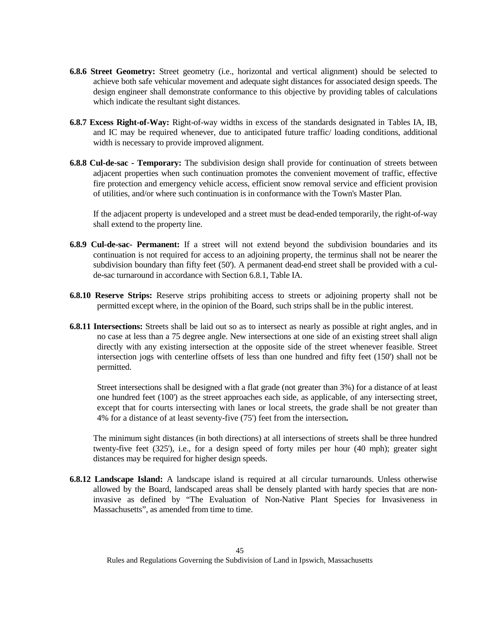- **6.8.6 Street Geometry:** Street geometry (i.e., horizontal and vertical alignment) should be selected to achieve both safe vehicular movement and adequate sight distances for associated design speeds. The design engineer shall demonstrate conformance to this objective by providing tables of calculations which indicate the resultant sight distances.
- **6.8.7 Excess Right-of-Way:** Right-of-way widths in excess of the standards designated in Tables IA, IB, and IC may be required whenever, due to anticipated future traffic/ loading conditions, additional width is necessary to provide improved alignment.
- **6.8.8 Cul-de-sac - Temporary:** The subdivision design shall provide for continuation of streets between adjacent properties when such continuation promotes the convenient movement of traffic, effective fire protection and emergency vehicle access, efficient snow removal service and efficient provision of utilities, and/or where such continuation is in conformance with the Town's Master Plan.

If the adjacent property is undeveloped and a street must be dead-ended temporarily, the right-of-way shall extend to the property line.

- **6.8.9 Cul-de-sac- Permanent:** If a street will not extend beyond the subdivision boundaries and its continuation is not required for access to an adjoining property, the terminus shall not be nearer the subdivision boundary than fifty feet (50'). A permanent dead-end street shall be provided with a culde-sac turnaround in accordance with Section 6.8.1, Table IA.
- **6.8.10 Reserve Strips:** Reserve strips prohibiting access to streets or adjoining property shall not be permitted except where, in the opinion of the Board, such strips shall be in the public interest.
- **6.8.11 Intersections:** Streets shall be laid out so as to intersect as nearly as possible at right angles, and in no case at less than a 75 degree angle. New intersections at one side of an existing street shall align directly with any existing intersection at the opposite side of the street whenever feasible. Street intersection jogs with centerline offsets of less than one hundred and fifty feet (150') shall not be permitted.

Street intersections shall be designed with a flat grade (not greater than 3%) for a distance of at least one hundred feet (100') as the street approaches each side, as applicable, of any intersecting street, except that for courts intersecting with lanes or local streets, the grade shall be not greater than 4% for a distance of at least seventy-five (75') feet from the intersection**.**

The minimum sight distances (in both directions) at all intersections of streets shall be three hundred twenty-five feet (325'), i.e., for a design speed of forty miles per hour (40 mph); greater sight distances may be required for higher design speeds.

**6.8.12 Landscape Island:** A landscape island is required at all circular turnarounds. Unless otherwise allowed by the Board, landscaped areas shall be densely planted with hardy species that are noninvasive as defined by "The Evaluation of Non-Native Plant Species for Invasiveness in Massachusetts", as amended from time to time.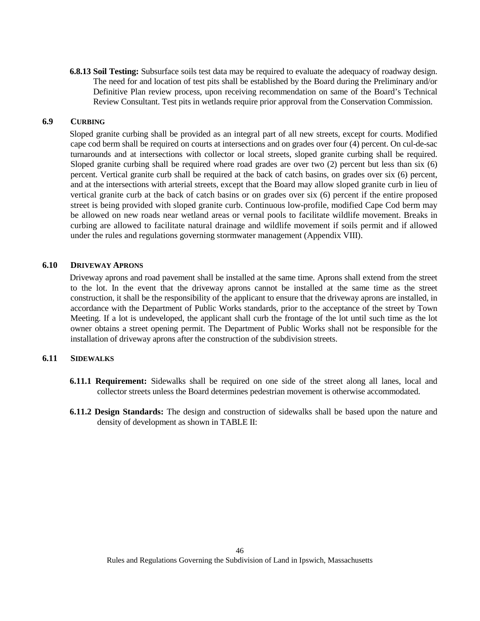**6.8.13 Soil Testing:** Subsurface soils test data may be required to evaluate the adequacy of roadway design. The need for and location of test pits shall be established by the Board during the Preliminary and/or Definitive Plan review process, upon receiving recommendation on same of the Board's Technical Review Consultant. Test pits in wetlands require prior approval from the Conservation Commission.

### **6.9 CURBING**

Sloped granite curbing shall be provided as an integral part of all new streets, except for courts. Modified cape cod berm shall be required on courts at intersections and on grades over four (4) percent. On cul-de-sac turnarounds and at intersections with collector or local streets, sloped granite curbing shall be required. Sloped granite curbing shall be required where road grades are over two (2) percent but less than six (6) percent. Vertical granite curb shall be required at the back of catch basins, on grades over six (6) percent, and at the intersections with arterial streets, except that the Board may allow sloped granite curb in lieu of vertical granite curb at the back of catch basins or on grades over six (6) percent if the entire proposed street is being provided with sloped granite curb. Continuous low-profile, modified Cape Cod berm may be allowed on new roads near wetland areas or vernal pools to facilitate wildlife movement. Breaks in curbing are allowed to facilitate natural drainage and wildlife movement if soils permit and if allowed under the rules and regulations governing stormwater management (Appendix VIII).

#### **6.10 DRIVEWAY APRONS**

Driveway aprons and road pavement shall be installed at the same time. Aprons shall extend from the street to the lot. In the event that the driveway aprons cannot be installed at the same time as the street construction, it shall be the responsibility of the applicant to ensure that the driveway aprons are installed, in accordance with the Department of Public Works standards, prior to the acceptance of the street by Town Meeting. If a lot is undeveloped, the applicant shall curb the frontage of the lot until such time as the lot owner obtains a street opening permit. The Department of Public Works shall not be responsible for the installation of driveway aprons after the construction of the subdivision streets.

#### **6.11 SIDEWALKS**

- **6.11.1 Requirement:** Sidewalks shall be required on one side of the street along all lanes, local and collector streets unless the Board determines pedestrian movement is otherwise accommodated.
- **6.11.2 Design Standards:** The design and construction of sidewalks shall be based upon the nature and density of development as shown in TABLE II: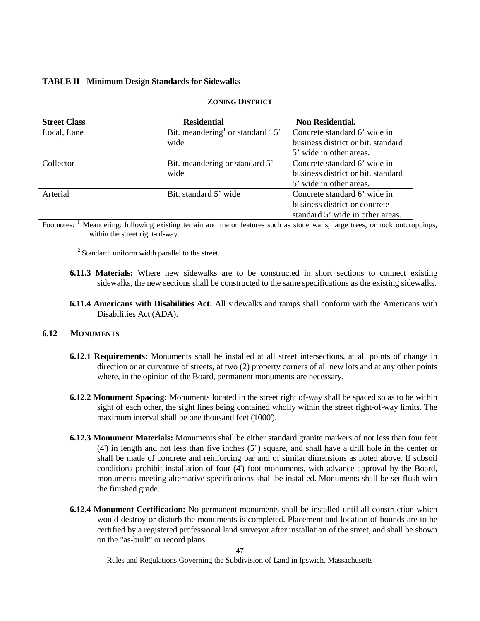### **TABLE II - Minimum Design Standards for Sidewalks**

#### **ZONING DISTRICT**

| <b>Street Class</b> | <b>Residential</b>                                 | <b>Non Residential.</b>            |
|---------------------|----------------------------------------------------|------------------------------------|
| Local, Lane         | Bit. meandering $\sigma$ or standard $\sigma^2$ 5' | Concrete standard 6' wide in       |
|                     | wide                                               | business district or bit. standard |
|                     |                                                    | 5' wide in other areas.            |
| Collector           | Bit. meandering or standard 5'                     | Concrete standard 6' wide in       |
|                     | wide                                               | business district or bit. standard |
|                     |                                                    | 5' wide in other areas.            |
| Arterial            | Bit. standard 5' wide                              | Concrete standard 6' wide in       |
|                     |                                                    | business district or concrete      |
|                     |                                                    | standard 5' wide in other areas.   |

Footnotes: <sup>1</sup> Meandering: following existing terrain and major features such as stone walls, large trees, or rock outcroppings, within the street right-of-way.

 $2$  Standard: uniform width parallel to the street.

- **6.11.3 Materials:** Where new sidewalks are to be constructed in short sections to connect existing sidewalks, the new sections shall be constructed to the same specifications as the existing sidewalks.
- **6.11.4 Americans with Disabilities Act:** All sidewalks and ramps shall conform with the Americans with Disabilities Act (ADA).

#### **6.12 MONUMENTS**

- **6.12.1 Requirements:** Monuments shall be installed at all street intersections, at all points of change in direction or at curvature of streets, at two (2) property corners of all new lots and at any other points where, in the opinion of the Board, permanent monuments are necessary.
- **6.12.2 Monument Spacing:** Monuments located in the street right of-way shall be spaced so as to be within sight of each other, the sight lines being contained wholly within the street right-of-way limits. The maximum interval shall be one thousand feet (1000').
- **6.12.3 Monument Materials:** Monuments shall be either standard granite markers of not less than four feet (4') in length and not less than five inches (5") square, and shall have a drill hole in the center or shall be made of concrete and reinforcing bar and of similar dimensions as noted above. If subsoil conditions prohibit installation of four (4') foot monuments, with advance approval by the Board, monuments meeting alternative specifications shall be installed. Monuments shall be set flush with the finished grade.
- **6.12.4 Monument Certification:** No permanent monuments shall be installed until all construction which would destroy or disturb the monuments is completed. Placement and location of bounds are to be certified by a registered professional land surveyor after installation of the street, and shall be shown on the "as-built" or record plans.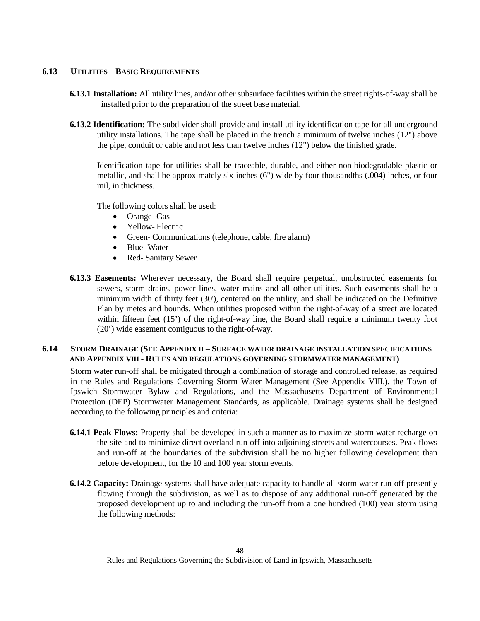## **6.13 UTILITIES – BASIC REQUIREMENTS**

- **6.13.1 Installation:** All utility lines, and/or other subsurface facilities within the street rights-of-way shall be installed prior to the preparation of the street base material.
- **6.13.2 Identification:** The subdivider shall provide and install utility identification tape for all underground utility installations. The tape shall be placed in the trench a minimum of twelve inches (12") above the pipe, conduit or cable and not less than twelve inches (12") below the finished grade.

Identification tape for utilities shall be traceable, durable, and either non-biodegradable plastic or metallic, and shall be approximately six inches (6") wide by four thousandths (.004) inches, or four mil, in thickness.

The following colors shall be used:

- Orange- Gas
- Yellow-Electric
- Green- Communications (telephone, cable, fire alarm)
- Blue- Water
- Red- Sanitary Sewer
- **6.13.3 Easements:** Wherever necessary, the Board shall require perpetual, unobstructed easements for sewers, storm drains, power lines, water mains and all other utilities. Such easements shall be a minimum width of thirty feet (30'), centered on the utility, and shall be indicated on the Definitive Plan by metes and bounds. When utilities proposed within the right-of-way of a street are located within fifteen feet (15') of the right-of-way line, the Board shall require a minimum twenty foot (20') wide easement contiguous to the right-of-way.

### **6.14 STORM DRAINAGE (SEE APPENDIX II – SURFACE WATER DRAINAGE INSTALLATION SPECIFICATIONS AND APPENDIX VIII - RULES AND REGULATIONS GOVERNING STORMWATER MANAGEMENT)**

Storm water run-off shall be mitigated through a combination of storage and controlled release, as required in the Rules and Regulations Governing Storm Water Management (See Appendix VIII.), the Town of Ipswich Stormwater Bylaw and Regulations, and the Massachusetts Department of Environmental Protection (DEP) Stormwater Management Standards, as applicable. Drainage systems shall be designed according to the following principles and criteria:

- **6.14.1 Peak Flows:** Property shall be developed in such a manner as to maximize storm water recharge on the site and to minimize direct overland run-off into adjoining streets and watercourses. Peak flows and run-off at the boundaries of the subdivision shall be no higher following development than before development, for the 10 and 100 year storm events.
- **6.14.2 Capacity:** Drainage systems shall have adequate capacity to handle all storm water run-off presently flowing through the subdivision, as well as to dispose of any additional run-off generated by the proposed development up to and including the run-off from a one hundred (100) year storm using the following methods: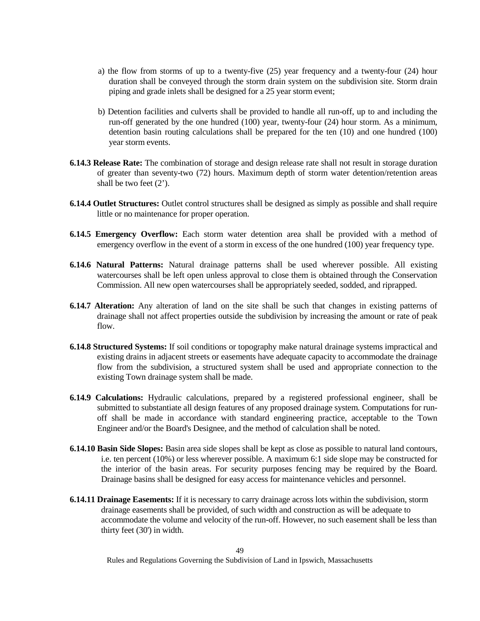- a) the flow from storms of up to a twenty-five (25) year frequency and a twenty-four (24) hour duration shall be conveyed through the storm drain system on the subdivision site. Storm drain piping and grade inlets shall be designed for a 25 year storm event;
- b) Detention facilities and culverts shall be provided to handle all run-off, up to and including the run-off generated by the one hundred (100) year, twenty-four (24) hour storm. As a minimum, detention basin routing calculations shall be prepared for the ten (10) and one hundred (100) year storm events.
- **6.14.3 Release Rate:** The combination of storage and design release rate shall not result in storage duration of greater than seventy-two (72) hours. Maximum depth of storm water detention/retention areas shall be two feet (2').
- **6.14.4 Outlet Structures:** Outlet control structures shall be designed as simply as possible and shall require little or no maintenance for proper operation.
- **6.14.5 Emergency Overflow:** Each storm water detention area shall be provided with a method of emergency overflow in the event of a storm in excess of the one hundred (100) year frequency type.
- **6.14.6 Natural Patterns:** Natural drainage patterns shall be used wherever possible. All existing watercourses shall be left open unless approval to close them is obtained through the Conservation Commission. All new open watercourses shall be appropriately seeded, sodded, and riprapped.
- **6.14.7 Alteration:** Any alteration of land on the site shall be such that changes in existing patterns of drainage shall not affect properties outside the subdivision by increasing the amount or rate of peak flow.
- **6.14.8 Structured Systems:** If soil conditions or topography make natural drainage systems impractical and existing drains in adjacent streets or easements have adequate capacity to accommodate the drainage flow from the subdivision, a structured system shall be used and appropriate connection to the existing Town drainage system shall be made.
- **6.14.9 Calculations:** Hydraulic calculations, prepared by a registered professional engineer, shall be submitted to substantiate all design features of any proposed drainage system. Computations for runoff shall be made in accordance with standard engineering practice, acceptable to the Town Engineer and/or the Board's Designee, and the method of calculation shall be noted.
- **6.14.10 Basin Side Slopes:** Basin area side slopes shall be kept as close as possible to natural land contours, i.e. ten percent (10%) or less wherever possible. A maximum 6:1 side slope may be constructed for the interior of the basin areas. For security purposes fencing may be required by the Board. Drainage basins shall be designed for easy access for maintenance vehicles and personnel.
- **6.14.11 Drainage Easements:** If it is necessary to carry drainage across lots within the subdivision, storm drainage easements shall be provided, of such width and construction as will be adequate to accommodate the volume and velocity of the run-off. However, no such easement shall be less than thirty feet (30') in width.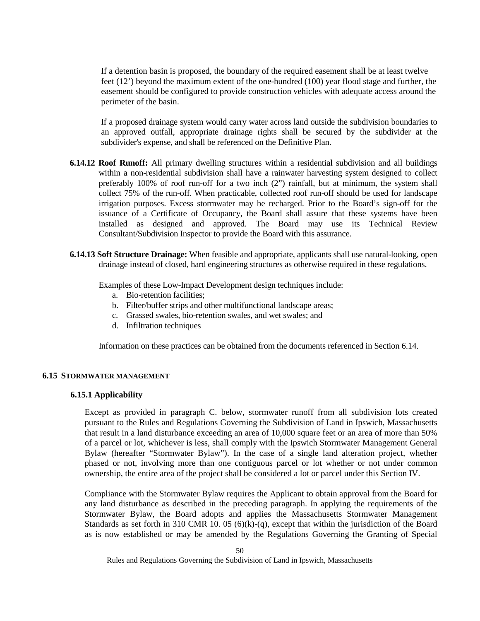If a detention basin is proposed, the boundary of the required easement shall be at least twelve feet (12') beyond the maximum extent of the one-hundred (100) year flood stage and further, the easement should be configured to provide construction vehicles with adequate access around the perimeter of the basin.

If a proposed drainage system would carry water across land outside the subdivision boundaries to an approved outfall, appropriate drainage rights shall be secured by the subdivider at the subdivider's expense, and shall be referenced on the Definitive Plan.

- **6.14.12 Roof Runoff:** All primary dwelling structures within a residential subdivision and all buildings within a non-residential subdivision shall have a rainwater harvesting system designed to collect preferably 100% of roof run-off for a two inch (2") rainfall, but at minimum, the system shall collect 75% of the run-off. When practicable, collected roof run-off should be used for landscape irrigation purposes. Excess stormwater may be recharged. Prior to the Board's sign-off for the issuance of a Certificate of Occupancy, the Board shall assure that these systems have been installed as designed and approved. The Board may use its Technical Review Consultant/Subdivision Inspector to provide the Board with this assurance.
- **6.14.13 Soft Structure Drainage:** When feasible and appropriate, applicants shall use natural-looking, open drainage instead of closed, hard engineering structures as otherwise required in these regulations.

Examples of these Low-Impact Development design techniques include:

- a. Bio-retention facilities;
- b. Filter/buffer strips and other multifunctional landscape areas;
- c. Grassed swales, bio-retention swales, and wet swales; and
- d. Infiltration techniques

Information on these practices can be obtained from the documents referenced in Section 6.14.

### **6.15 STORMWATER MANAGEMENT**

#### **6.15.1 Applicability**

Except as provided in paragraph C. below, stormwater runoff from all subdivision lots created pursuant to the Rules and Regulations Governing the Subdivision of Land in Ipswich, Massachusetts that result in a land disturbance exceeding an area of 10,000 square feet or an area of more than 50% of a parcel or lot, whichever is less, shall comply with the Ipswich Stormwater Management General Bylaw (hereafter "Stormwater Bylaw"). In the case of a single land alteration project, whether phased or not, involving more than one contiguous parcel or lot whether or not under common ownership, the entire area of the project shall be considered a lot or parcel under this Section IV.

Compliance with the Stormwater Bylaw requires the Applicant to obtain approval from the Board for any land disturbance as described in the preceding paragraph. In applying the requirements of the Stormwater Bylaw, the Board adopts and applies the Massachusetts Stormwater Management Standards as set forth in 310 CMR 10. 05 (6)(k)-(q), except that within the jurisdiction of the Board as is now established or may be amended by the Regulations Governing the Granting of Special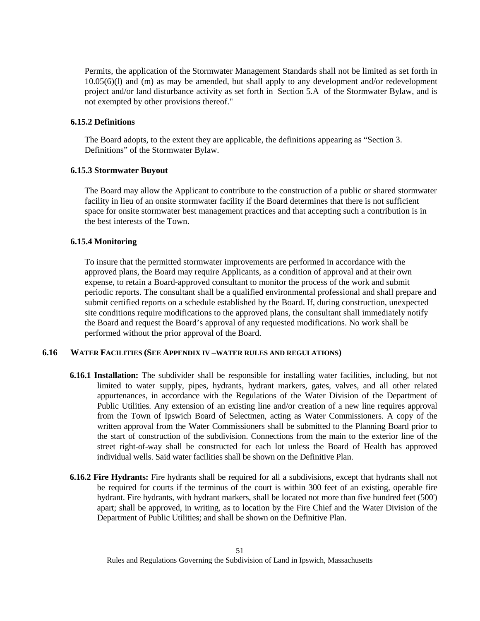Permits, the application of the Stormwater Management Standards shall not be limited as set forth in 10.05(6)(l) and (m) as may be amended, but shall apply to any development and/or redevelopment project and/or land disturbance activity as set forth in Section 5.A of the Stormwater Bylaw, and is not exempted by other provisions thereof."

#### **6.15.2 Definitions**

The Board adopts, to the extent they are applicable, the definitions appearing as "Section 3. Definitions" of the Stormwater Bylaw.

#### **6.15.3 Stormwater Buyout**

The Board may allow the Applicant to contribute to the construction of a public or shared stormwater facility in lieu of an onsite stormwater facility if the Board determines that there is not sufficient space for onsite stormwater best management practices and that accepting such a contribution is in the best interests of the Town.

#### **6.15.4 Monitoring**

To insure that the permitted stormwater improvements are performed in accordance with the approved plans, the Board may require Applicants, as a condition of approval and at their own expense, to retain a Board-approved consultant to monitor the process of the work and submit periodic reports. The consultant shall be a qualified environmental professional and shall prepare and submit certified reports on a schedule established by the Board. If, during construction, unexpected site conditions require modifications to the approved plans, the consultant shall immediately notify the Board and request the Board's approval of any requested modifications. No work shall be performed without the prior approval of the Board.

### **6.16 WATER FACILITIES (SEE APPENDIX IV –WATER RULES AND REGULATIONS)**

- **6.16.1 Installation:** The subdivider shall be responsible for installing water facilities, including, but not limited to water supply, pipes, hydrants, hydrant markers, gates, valves, and all other related appurtenances, in accordance with the Regulations of the Water Division of the Department of Public Utilities. Any extension of an existing line and/or creation of a new line requires approval from the Town of Ipswich Board of Selectmen, acting as Water Commissioners. A copy of the written approval from the Water Commissioners shall be submitted to the Planning Board prior to the start of construction of the subdivision. Connections from the main to the exterior line of the street right-of-way shall be constructed for each lot unless the Board of Health has approved individual wells. Said water facilities shall be shown on the Definitive Plan.
- **6.16.2 Fire Hydrants:** Fire hydrants shall be required for all a subdivisions, except that hydrants shall not be required for courts if the terminus of the court is within 300 feet of an existing, operable fire hydrant. Fire hydrants, with hydrant markers, shall be located not more than five hundred feet (500') apart; shall be approved, in writing, as to location by the Fire Chief and the Water Division of the Department of Public Utilities; and shall be shown on the Definitive Plan.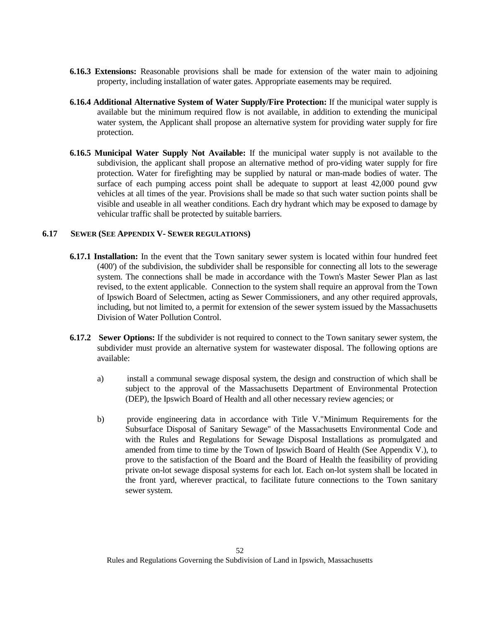- **6.16.3 Extensions:** Reasonable provisions shall be made for extension of the water main to adjoining property, including installation of water gates. Appropriate easements may be required.
- **6.16.4 Additional Alternative System of Water Supply/Fire Protection:** If the municipal water supply is available but the minimum required flow is not available, in addition to extending the municipal water system, the Applicant shall propose an alternative system for providing water supply for fire protection.
- **6.16.5 Municipal Water Supply Not Available:** If the municipal water supply is not available to the subdivision, the applicant shall propose an alternative method of pro-viding water supply for fire protection. Water for firefighting may be supplied by natural or man-made bodies of water. The surface of each pumping access point shall be adequate to support at least 42,000 pound gvw vehicles at all times of the year. Provisions shall be made so that such water suction points shall be visible and useable in all weather conditions. Each dry hydrant which may be exposed to damage by vehicular traffic shall be protected by suitable barriers.

#### **6.17 SEWER (SEE APPENDIX V- SEWER REGULATIONS)**

- **6.17.1 Installation:** In the event that the Town sanitary sewer system is located within four hundred feet (400') of the subdivision, the subdivider shall be responsible for connecting all lots to the sewerage system. The connections shall be made in accordance with the Town's Master Sewer Plan as last revised, to the extent applicable. Connection to the system shall require an approval from the Town of Ipswich Board of Selectmen, acting as Sewer Commissioners, and any other required approvals, including, but not limited to, a permit for extension of the sewer system issued by the Massachusetts Division of Water Pollution Control.
- **6.17.2 Sewer Options:** If the subdivider is not required to connect to the Town sanitary sewer system, the subdivider must provide an alternative system for wastewater disposal. The following options are available:
	- a) install a communal sewage disposal system, the design and construction of which shall be subject to the approval of the Massachusetts Department of Environmental Protection (DEP), the Ipswich Board of Health and all other necessary review agencies; or
	- b) provide engineering data in accordance with Title V."Minimum Requirements for the Subsurface Disposal of Sanitary Sewage" of the Massachusetts Environmental Code and with the Rules and Regulations for Sewage Disposal Installations as promulgated and amended from time to time by the Town of Ipswich Board of Health (See Appendix V.), to prove to the satisfaction of the Board and the Board of Health the feasibility of providing private on-lot sewage disposal systems for each lot. Each on-lot system shall be located in the front yard, wherever practical, to facilitate future connections to the Town sanitary sewer system.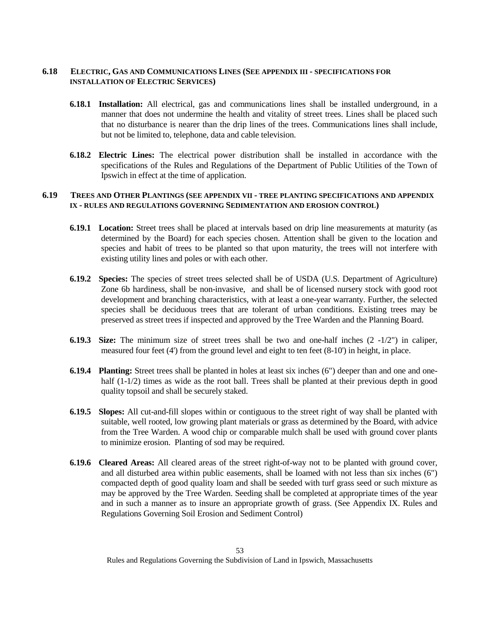### **6.18 ELECTRIC, GAS AND COMMUNICATIONS LINES (SEE APPENDIX III - SPECIFICATIONS FOR INSTALLATION OF ELECTRIC SERVICES)**

- **6.18.1 Installation:** All electrical, gas and communications lines shall be installed underground, in a manner that does not undermine the health and vitality of street trees. Lines shall be placed such that no disturbance is nearer than the drip lines of the trees. Communications lines shall include, but not be limited to, telephone, data and cable television.
- **6.18.2 Electric Lines:** The electrical power distribution shall be installed in accordance with the specifications of the Rules and Regulations of the Department of Public Utilities of the Town of Ipswich in effect at the time of application.

### **6.19 TREES AND OTHER PLANTINGS (SEE APPENDIX VII - TREE PLANTING SPECIFICATIONS AND APPENDIX IX - RULES AND REGULATIONS GOVERNING SEDIMENTATION AND EROSION CONTROL)**

- **6.19.1 Location:** Street trees shall be placed at intervals based on drip line measurements at maturity (as determined by the Board) for each species chosen. Attention shall be given to the location and species and habit of trees to be planted so that upon maturity, the trees will not interfere with existing utility lines and poles or with each other.
- **6.19.2 Species:** The species of street trees selected shall be of USDA (U.S. Department of Agriculture) Zone 6b hardiness, shall be non-invasive, and shall be of licensed nursery stock with good root development and branching characteristics, with at least a one-year warranty. Further, the selected species shall be deciduous trees that are tolerant of urban conditions. Existing trees may be preserved as street trees if inspected and approved by the Tree Warden and the Planning Board.
- **6.19.3 Size:** The minimum size of street trees shall be two and one-half inches (2 -1/2") in caliper, measured four feet (4') from the ground level and eight to ten feet (8-10') in height, in place.
- **6.19.4 Planting:** Street trees shall be planted in holes at least six inches (6") deeper than and one and onehalf  $(1-1/2)$  times as wide as the root ball. Trees shall be planted at their previous depth in good quality topsoil and shall be securely staked.
- **6.19.5 Slopes:** All cut-and-fill slopes within or contiguous to the street right of way shall be planted with suitable, well rooted, low growing plant materials or grass as determined by the Board, with advice from the Tree Warden. A wood chip or comparable mulch shall be used with ground cover plants to minimize erosion. Planting of sod may be required.
- **6.19.6 Cleared Areas:** All cleared areas of the street right-of-way not to be planted with ground cover, and all disturbed area within public easements, shall be loamed with not less than six inches (6") compacted depth of good quality loam and shall be seeded with turf grass seed or such mixture as may be approved by the Tree Warden. Seeding shall be completed at appropriate times of the year and in such a manner as to insure an appropriate growth of grass. (See Appendix IX. Rules and Regulations Governing Soil Erosion and Sediment Control)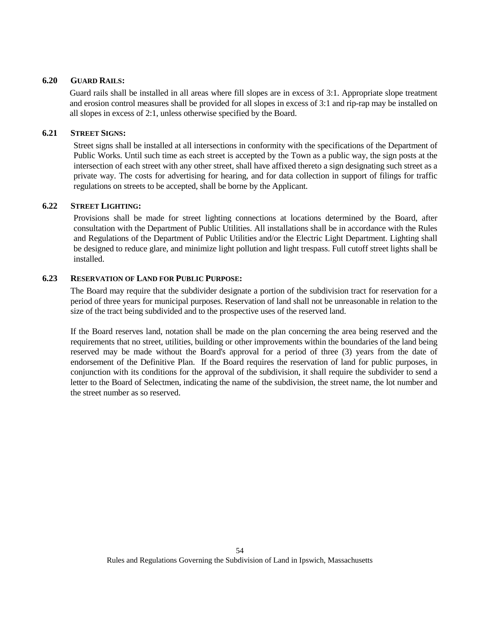#### **6.20 GUARD RAILS:**

Guard rails shall be installed in all areas where fill slopes are in excess of 3:1. Appropriate slope treatment and erosion control measures shall be provided for all slopes in excess of 3:1 and rip-rap may be installed on all slopes in excess of 2:1, unless otherwise specified by the Board.

#### **6.21 STREET SIGNS:**

Street signs shall be installed at all intersections in conformity with the specifications of the Department of Public Works. Until such time as each street is accepted by the Town as a public way, the sign posts at the intersection of each street with any other street, shall have affixed thereto a sign designating such street as a private way. The costs for advertising for hearing, and for data collection in support of filings for traffic regulations on streets to be accepted, shall be borne by the Applicant.

#### **6.22 STREET LIGHTING:**

Provisions shall be made for street lighting connections at locations determined by the Board, after consultation with the Department of Public Utilities. All installations shall be in accordance with the Rules and Regulations of the Department of Public Utilities and/or the Electric Light Department. Lighting shall be designed to reduce glare, and minimize light pollution and light trespass. Full cutoff street lights shall be installed.

#### **6.23 RESERVATION OF LAND FOR PUBLIC PURPOSE:**

The Board may require that the subdivider designate a portion of the subdivision tract for reservation for a period of three years for municipal purposes. Reservation of land shall not be unreasonable in relation to the size of the tract being subdivided and to the prospective uses of the reserved land.

If the Board reserves land, notation shall be made on the plan concerning the area being reserved and the requirements that no street, utilities, building or other improvements within the boundaries of the land being reserved may be made without the Board's approval for a period of three (3) years from the date of endorsement of the Definitive Plan. If the Board requires the reservation of land for public purposes, in conjunction with its conditions for the approval of the subdivision, it shall require the subdivider to send a letter to the Board of Selectmen, indicating the name of the subdivision, the street name, the lot number and the street number as so reserved.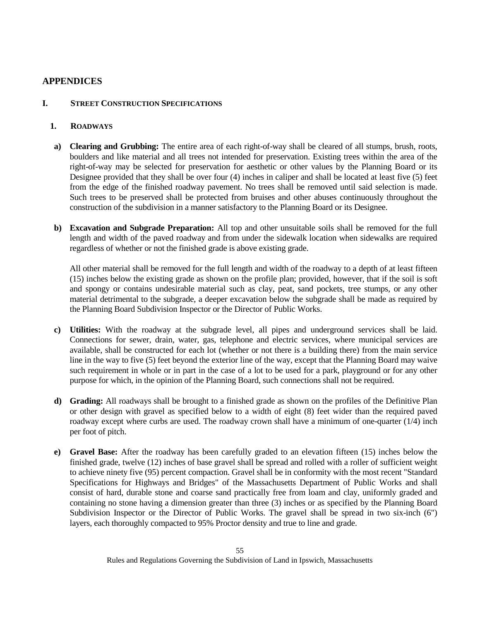## **APPENDICES**

### **I. STREET CONSTRUCTION SPECIFICATIONS**

### **1. ROADWAYS**

- **a) Clearing and Grubbing:** The entire area of each right-of-way shall be cleared of all stumps, brush, roots, boulders and like material and all trees not intended for preservation. Existing trees within the area of the right-of-way may be selected for preservation for aesthetic or other values by the Planning Board or its Designee provided that they shall be over four (4) inches in caliper and shall be located at least five (5) feet from the edge of the finished roadway pavement. No trees shall be removed until said selection is made. Such trees to be preserved shall be protected from bruises and other abuses continuously throughout the construction of the subdivision in a manner satisfactory to the Planning Board or its Designee.
- **b) Excavation and Subgrade Preparation:** All top and other unsuitable soils shall be removed for the full length and width of the paved roadway and from under the sidewalk location when sidewalks are required regardless of whether or not the finished grade is above existing grade.

All other material shall be removed for the full length and width of the roadway to a depth of at least fifteen (15) inches below the existing grade as shown on the profile plan; provided, however, that if the soil is soft and spongy or contains undesirable material such as clay, peat, sand pockets, tree stumps, or any other material detrimental to the subgrade, a deeper excavation below the subgrade shall be made as required by the Planning Board Subdivision Inspector or the Director of Public Works.

- **c) Utilities:** With the roadway at the subgrade level, all pipes and underground services shall be laid. Connections for sewer, drain, water, gas, telephone and electric services, where municipal services are available, shall be constructed for each lot (whether or not there is a building there) from the main service line in the way to five (5) feet beyond the exterior line of the way, except that the Planning Board may waive such requirement in whole or in part in the case of a lot to be used for a park, playground or for any other purpose for which, in the opinion of the Planning Board, such connections shall not be required.
- **d) Grading:** All roadways shall be brought to a finished grade as shown on the profiles of the Definitive Plan or other design with gravel as specified below to a width of eight (8) feet wider than the required paved roadway except where curbs are used. The roadway crown shall have a minimum of one-quarter (1/4) inch per foot of pitch.
- **e) Gravel Base:** After the roadway has been carefully graded to an elevation fifteen (15) inches below the finished grade, twelve (12) inches of base gravel shall be spread and rolled with a roller of sufficient weight to achieve ninety five (95) percent compaction. Gravel shall be in conformity with the most recent "Standard Specifications for Highways and Bridges" of the Massachusetts Department of Public Works and shall consist of hard, durable stone and coarse sand practically free from loam and clay, uniformly graded and containing no stone having a dimension greater than three (3) inches or as specified by the Planning Board Subdivision Inspector or the Director of Public Works. The gravel shall be spread in two six-inch (6") layers, each thoroughly compacted to 95% Proctor density and true to line and grade.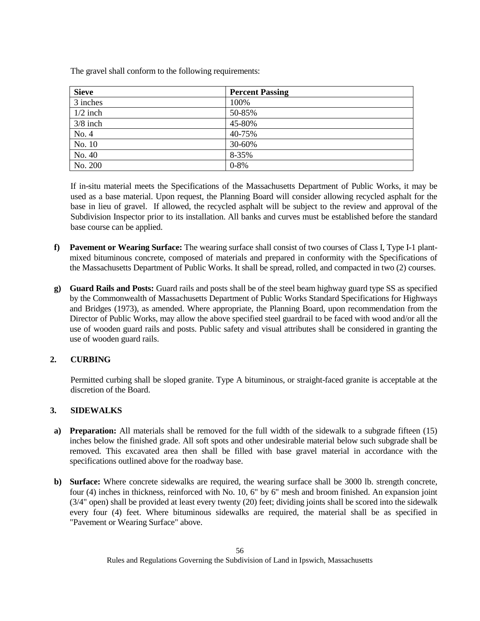The gravel shall conform to the following requirements:

| <b>Sieve</b> | <b>Percent Passing</b> |  |
|--------------|------------------------|--|
| 3 inches     | 100%                   |  |
| $1/2$ inch   | 50-85%                 |  |
| $3/8$ inch   | 45-80%                 |  |
| No. 4        | 40-75%                 |  |
| No. 10       | 30-60%                 |  |
| No. 40       | 8-35%                  |  |
| No. 200      | $0 - 8\%$              |  |

If in-situ material meets the Specifications of the Massachusetts Department of Public Works, it may be used as a base material. Upon request, the Planning Board will consider allowing recycled asphalt for the base in lieu of gravel. If allowed, the recycled asphalt will be subject to the review and approval of the Subdivision Inspector prior to its installation. All banks and curves must be established before the standard base course can be applied.

- **f) Pavement or Wearing Surface:** The wearing surface shall consist of two courses of Class I, Type I-1 plantmixed bituminous concrete, composed of materials and prepared in conformity with the Specifications of the Massachusetts Department of Public Works. It shall be spread, rolled, and compacted in two (2) courses.
- **g) Guard Rails and Posts:** Guard rails and posts shall be of the steel beam highway guard type SS as specified by the Commonwealth of Massachusetts Department of Public Works Standard Specifications for Highways and Bridges (1973), as amended. Where appropriate, the Planning Board, upon recommendation from the Director of Public Works, may allow the above specified steel guardrail to be faced with wood and/or all the use of wooden guard rails and posts. Public safety and visual attributes shall be considered in granting the use of wooden guard rails.

## **2. CURBING**

Permitted curbing shall be sloped granite. Type A bituminous, or straight-faced granite is acceptable at the discretion of the Board.

### **3. SIDEWALKS**

- **a) Preparation:** All materials shall be removed for the full width of the sidewalk to a subgrade fifteen (15) inches below the finished grade. All soft spots and other undesirable material below such subgrade shall be removed. This excavated area then shall be filled with base gravel material in accordance with the specifications outlined above for the roadway base.
- **b) Surface:** Where concrete sidewalks are required, the wearing surface shall be 3000 lb. strength concrete, four (4) inches in thickness, reinforced with No. 10, 6" by 6" mesh and broom finished. An expansion joint (3/4" open) shall be provided at least every twenty (20) feet; dividing joints shall be scored into the sidewalk every four (4) feet. Where bituminous sidewalks are required, the material shall be as specified in "Pavement or Wearing Surface" above.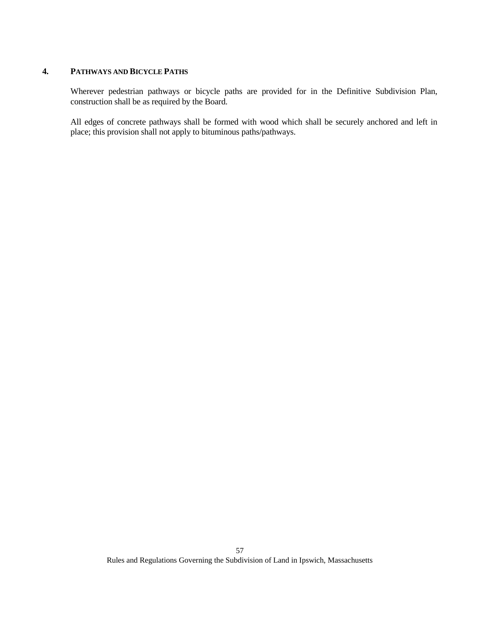#### **4. PATHWAYS AND BICYCLE PATHS**

Wherever pedestrian pathways or bicycle paths are provided for in the Definitive Subdivision Plan, construction shall be as required by the Board.

All edges of concrete pathways shall be formed with wood which shall be securely anchored and left in place; this provision shall not apply to bituminous paths/pathways.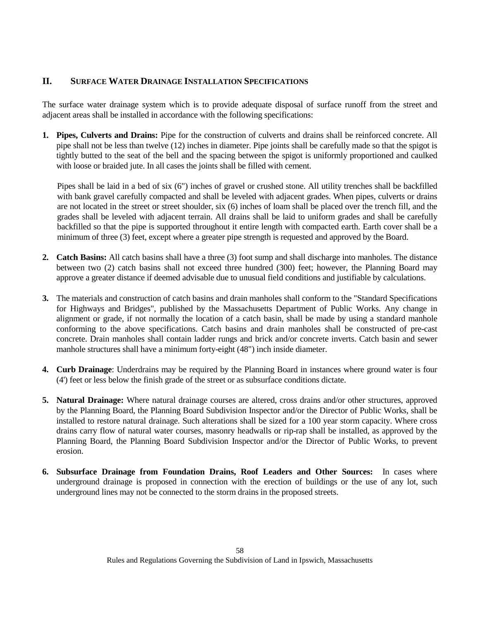## **II. SURFACE WATER DRAINAGE INSTALLATION SPECIFICATIONS**

The surface water drainage system which is to provide adequate disposal of surface runoff from the street and adjacent areas shall be installed in accordance with the following specifications:

**1. Pipes, Culverts and Drains:** Pipe for the construction of culverts and drains shall be reinforced concrete. All pipe shall not be less than twelve (12) inches in diameter. Pipe joints shall be carefully made so that the spigot is tightly butted to the seat of the bell and the spacing between the spigot is uniformly proportioned and caulked with loose or braided jute. In all cases the joints shall be filled with cement.

Pipes shall be laid in a bed of six (6") inches of gravel or crushed stone. All utility trenches shall be backfilled with bank gravel carefully compacted and shall be leveled with adjacent grades. When pipes, culverts or drains are not located in the street or street shoulder, six (6) inches of loam shall be placed over the trench fill, and the grades shall be leveled with adjacent terrain. All drains shall be laid to uniform grades and shall be carefully backfilled so that the pipe is supported throughout it entire length with compacted earth. Earth cover shall be a minimum of three (3) feet, except where a greater pipe strength is requested and approved by the Board.

- **2. Catch Basins:** All catch basins shall have a three (3) foot sump and shall discharge into manholes. The distance between two (2) catch basins shall not exceed three hundred (300) feet; however, the Planning Board may approve a greater distance if deemed advisable due to unusual field conditions and justifiable by calculations.
- **3.** The materials and construction of catch basins and drain manholes shall conform to the "Standard Specifications for Highways and Bridges", published by the Massachusetts Department of Public Works. Any change in alignment or grade, if not normally the location of a catch basin, shall be made by using a standard manhole conforming to the above specifications. Catch basins and drain manholes shall be constructed of pre-cast concrete. Drain manholes shall contain ladder rungs and brick and/or concrete inverts. Catch basin and sewer manhole structures shall have a minimum forty-eight (48") inch inside diameter.
- **4. Curb Drainage**: Underdrains may be required by the Planning Board in instances where ground water is four (4') feet or less below the finish grade of the street or as subsurface conditions dictate.
- **5. Natural Drainage:** Where natural drainage courses are altered, cross drains and/or other structures, approved by the Planning Board, the Planning Board Subdivision Inspector and/or the Director of Public Works, shall be installed to restore natural drainage. Such alterations shall be sized for a 100 year storm capacity. Where cross drains carry flow of natural water courses, masonry headwalls or rip-rap shall be installed, as approved by the Planning Board, the Planning Board Subdivision Inspector and/or the Director of Public Works, to prevent erosion.
- **6. Subsurface Drainage from Foundation Drains, Roof Leaders and Other Sources:** In cases where underground drainage is proposed in connection with the erection of buildings or the use of any lot, such underground lines may not be connected to the storm drains in the proposed streets.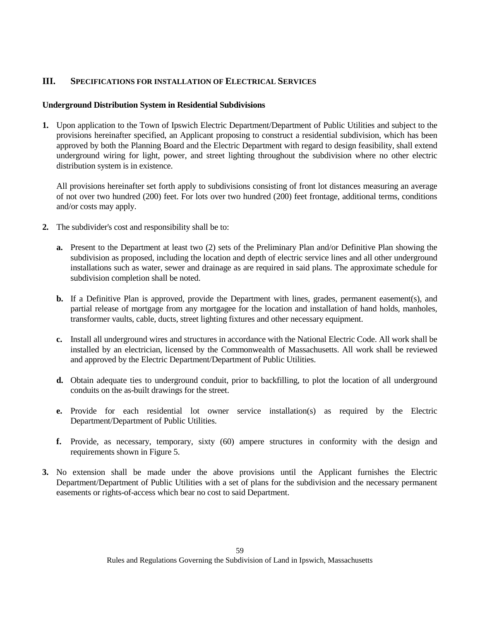## **III. SPECIFICATIONS FOR INSTALLATION OF ELECTRICAL SERVICES**

### **Underground Distribution System in Residential Subdivisions**

**1.** Upon application to the Town of Ipswich Electric Department/Department of Public Utilities and subject to the provisions hereinafter specified, an Applicant proposing to construct a residential subdivision, which has been approved by both the Planning Board and the Electric Department with regard to design feasibility, shall extend underground wiring for light, power, and street lighting throughout the subdivision where no other electric distribution system is in existence.

All provisions hereinafter set forth apply to subdivisions consisting of front lot distances measuring an average of not over two hundred (200) feet. For lots over two hundred (200) feet frontage, additional terms, conditions and/or costs may apply.

- **2.** The subdivider's cost and responsibility shall be to:
	- **a.** Present to the Department at least two (2) sets of the Preliminary Plan and/or Definitive Plan showing the subdivision as proposed, including the location and depth of electric service lines and all other underground installations such as water, sewer and drainage as are required in said plans. The approximate schedule for subdivision completion shall be noted.
	- **b.** If a Definitive Plan is approved, provide the Department with lines, grades, permanent easement(s), and partial release of mortgage from any mortgagee for the location and installation of hand holds, manholes, transformer vaults, cable, ducts, street lighting fixtures and other necessary equipment.
	- **c.** Install all underground wires and structures in accordance with the National Electric Code. All work shall be installed by an electrician, licensed by the Commonwealth of Massachusetts. All work shall be reviewed and approved by the Electric Department/Department of Public Utilities.
	- **d.** Obtain adequate ties to underground conduit, prior to backfilling, to plot the location of all underground conduits on the as-built drawings for the street.
	- **e.** Provide for each residential lot owner service installation(s) as required by the Electric Department/Department of Public Utilities.
	- **f.** Provide, as necessary, temporary, sixty (60) ampere structures in conformity with the design and requirements shown in Figure 5.
- **3.** No extension shall be made under the above provisions until the Applicant furnishes the Electric Department/Department of Public Utilities with a set of plans for the subdivision and the necessary permanent easements or rights-of-access which bear no cost to said Department.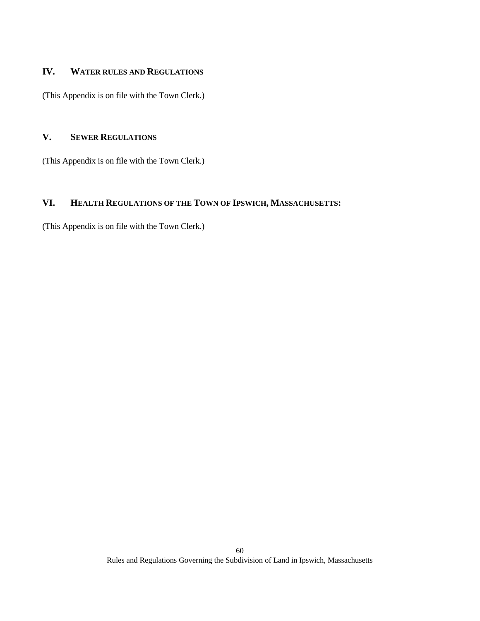## **IV. WATER RULES AND REGULATIONS**

(This Appendix is on file with the Town Clerk.)

### **V. SEWER REGULATIONS**

(This Appendix is on file with the Town Clerk.)

# **VI. HEALTH REGULATIONS OF THE TOWN OF IPSWICH, MASSACHUSETTS:**

(This Appendix is on file with the Town Clerk.)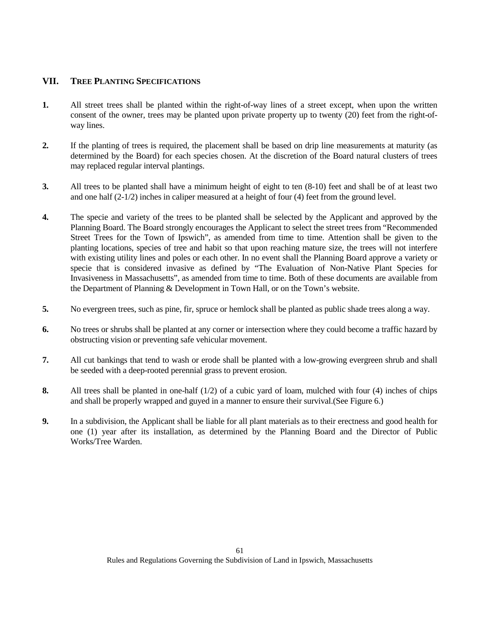### **VII. TREE PLANTING SPECIFICATIONS**

- **1.** All street trees shall be planted within the right-of-way lines of a street except, when upon the written consent of the owner, trees may be planted upon private property up to twenty (20) feet from the right-ofway lines.
- **2.** If the planting of trees is required, the placement shall be based on drip line measurements at maturity (as determined by the Board) for each species chosen. At the discretion of the Board natural clusters of trees may replaced regular interval plantings.
- **3.** All trees to be planted shall have a minimum height of eight to ten (8-10) feet and shall be of at least two and one half (2-1/2) inches in caliper measured at a height of four (4) feet from the ground level.
- **4.** The specie and variety of the trees to be planted shall be selected by the Applicant and approved by the Planning Board. The Board strongly encourages the Applicant to select the street trees from "Recommended Street Trees for the Town of Ipswich", as amended from time to time. Attention shall be given to the planting locations, species of tree and habit so that upon reaching mature size, the trees will not interfere with existing utility lines and poles or each other. In no event shall the Planning Board approve a variety or specie that is considered invasive as defined by "The Evaluation of Non-Native Plant Species for Invasiveness in Massachusetts", as amended from time to time. Both of these documents are available from the Department of Planning & Development in Town Hall, or on the Town's website.
- **5.** No evergreen trees, such as pine, fir, spruce or hemlock shall be planted as public shade trees along a way.
- **6.** No trees or shrubs shall be planted at any corner or intersection where they could become a traffic hazard by obstructing vision or preventing safe vehicular movement.
- **7.** All cut bankings that tend to wash or erode shall be planted with a low-growing evergreen shrub and shall be seeded with a deep-rooted perennial grass to prevent erosion.
- **8.** All trees shall be planted in one-half (1/2) of a cubic yard of loam, mulched with four (4) inches of chips and shall be properly wrapped and guyed in a manner to ensure their survival.(See Figure 6.)
- **9.** In a subdivision, the Applicant shall be liable for all plant materials as to their erectness and good health for one (1) year after its installation, as determined by the Planning Board and the Director of Public Works/Tree Warden.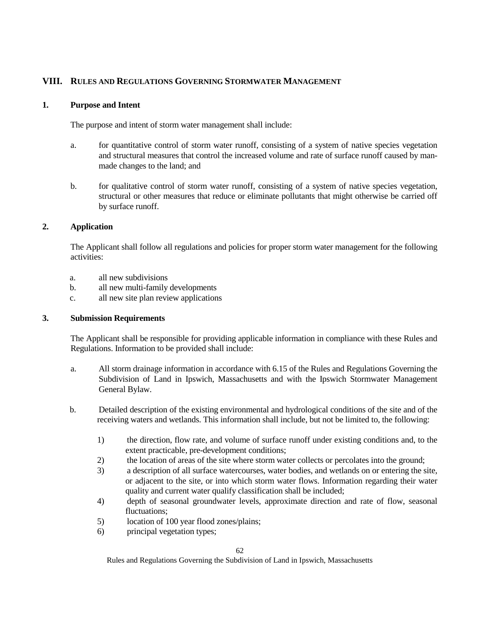## **VIII. RULES AND REGULATIONS GOVERNING STORMWATER MANAGEMENT**

#### **1. Purpose and Intent**

The purpose and intent of storm water management shall include:

- a. for quantitative control of storm water runoff, consisting of a system of native species vegetation and structural measures that control the increased volume and rate of surface runoff caused by manmade changes to the land; and
- b. for qualitative control of storm water runoff, consisting of a system of native species vegetation, structural or other measures that reduce or eliminate pollutants that might otherwise be carried off by surface runoff.

### **2. Application**

The Applicant shall follow all regulations and policies for proper storm water management for the following activities:

- a. all new subdivisions
- b. all new multi-family developments
- c. all new site plan review applications

#### **3. Submission Requirements**

The Applicant shall be responsible for providing applicable information in compliance with these Rules and Regulations. Information to be provided shall include:

- a. All storm drainage information in accordance with 6.15 of the Rules and Regulations Governing the Subdivision of Land in Ipswich, Massachusetts and with the Ipswich Stormwater Management General Bylaw.
- b. Detailed description of the existing environmental and hydrological conditions of the site and of the receiving waters and wetlands. This information shall include, but not be limited to, the following:
	- 1) the direction, flow rate, and volume of surface runoff under existing conditions and, to the extent practicable, pre-development conditions;
	- 2) the location of areas of the site where storm water collects or percolates into the ground;
	- 3) a description of all surface watercourses, water bodies, and wetlands on or entering the site, or adjacent to the site, or into which storm water flows. Information regarding their water quality and current water qualify classification shall be included;
	- 4) depth of seasonal groundwater levels, approximate direction and rate of flow, seasonal fluctuations;
	- 5) location of 100 year flood zones/plains;
	- 6) principal vegetation types;

62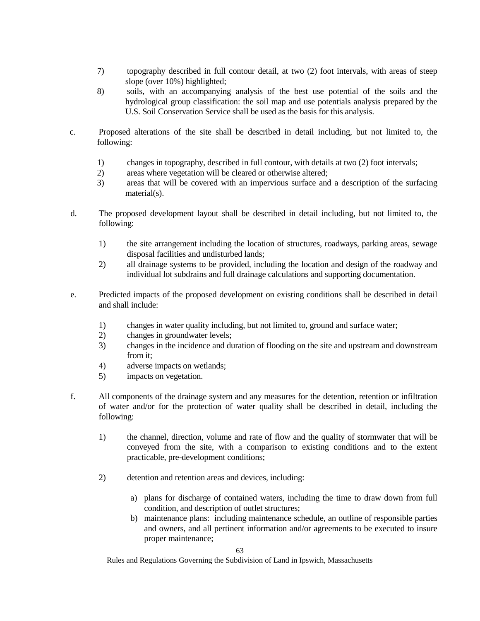- 7) topography described in full contour detail, at two (2) foot intervals, with areas of steep slope (over 10%) highlighted;
- 8) soils, with an accompanying analysis of the best use potential of the soils and the hydrological group classification: the soil map and use potentials analysis prepared by the U.S. Soil Conservation Service shall be used as the basis for this analysis.
- c. Proposed alterations of the site shall be described in detail including, but not limited to, the following:
	- 1) changes in topography, described in full contour, with details at two (2) foot intervals;
	- 2) areas where vegetation will be cleared or otherwise altered;
	- 3) areas that will be covered with an impervious surface and a description of the surfacing material(s).
- d. The proposed development layout shall be described in detail including, but not limited to, the following:
	- 1) the site arrangement including the location of structures, roadways, parking areas, sewage disposal facilities and undisturbed lands;
	- 2) all drainage systems to be provided, including the location and design of the roadway and individual lot subdrains and full drainage calculations and supporting documentation.
- e. Predicted impacts of the proposed development on existing conditions shall be described in detail and shall include:
	- 1) changes in water quality including, but not limited to, ground and surface water;
	- 2) changes in groundwater levels;
	- 3) changes in the incidence and duration of flooding on the site and upstream and downstream from it;
	- 4) adverse impacts on wetlands;
	- 5) impacts on vegetation.
- f. All components of the drainage system and any measures for the detention, retention or infiltration of water and/or for the protection of water quality shall be described in detail, including the following:
	- 1) the channel, direction, volume and rate of flow and the quality of stormwater that will be conveyed from the site, with a comparison to existing conditions and to the extent practicable, pre-development conditions;
	- 2) detention and retention areas and devices, including:
		- a) plans for discharge of contained waters, including the time to draw down from full condition, and description of outlet structures;
		- b) maintenance plans: including maintenance schedule, an outline of responsible parties and owners, and all pertinent information and/or agreements to be executed to insure proper maintenance;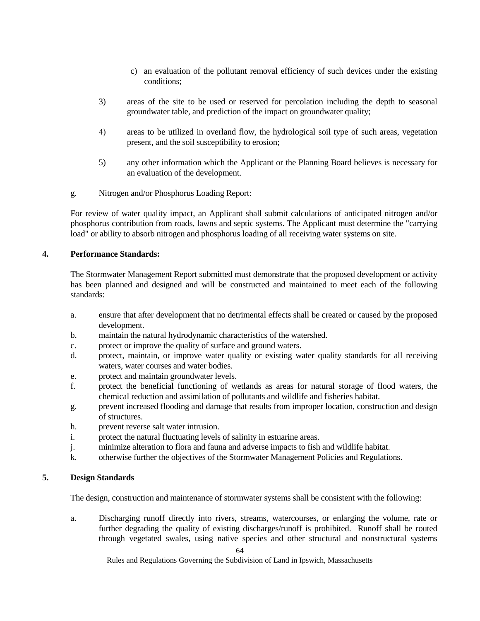- c) an evaluation of the pollutant removal efficiency of such devices under the existing conditions;
- 3) areas of the site to be used or reserved for percolation including the depth to seasonal groundwater table, and prediction of the impact on groundwater quality;
- 4) areas to be utilized in overland flow, the hydrological soil type of such areas, vegetation present, and the soil susceptibility to erosion;
- 5) any other information which the Applicant or the Planning Board believes is necessary for an evaluation of the development.
- g. Nitrogen and/or Phosphorus Loading Report:

For review of water quality impact, an Applicant shall submit calculations of anticipated nitrogen and/or phosphorus contribution from roads, lawns and septic systems. The Applicant must determine the "carrying load" or ability to absorb nitrogen and phosphorus loading of all receiving water systems on site.

### **4. Performance Standards:**

The Stormwater Management Report submitted must demonstrate that the proposed development or activity has been planned and designed and will be constructed and maintained to meet each of the following standards:

- a. ensure that after development that no detrimental effects shall be created or caused by the proposed development.
- b. maintain the natural hydrodynamic characteristics of the watershed.
- c. protect or improve the quality of surface and ground waters.
- d. protect, maintain, or improve water quality or existing water quality standards for all receiving waters, water courses and water bodies.
- e. protect and maintain groundwater levels.
- f. protect the beneficial functioning of wetlands as areas for natural storage of flood waters, the chemical reduction and assimilation of pollutants and wildlife and fisheries habitat.
- g. prevent increased flooding and damage that results from improper location, construction and design of structures.
- h. prevent reverse salt water intrusion.
- i. protect the natural fluctuating levels of salinity in estuarine areas.
- j. minimize alteration to flora and fauna and adverse impacts to fish and wildlife habitat.
- k. otherwise further the objectives of the Stormwater Management Policies and Regulations.

#### **5. Design Standards**

The design, construction and maintenance of stormwater systems shall be consistent with the following:

a. Discharging runoff directly into rivers, streams, watercourses, or enlarging the volume, rate or further degrading the quality of existing discharges/runoff is prohibited. Runoff shall be routed through vegetated swales, using native species and other structural and nonstructural systems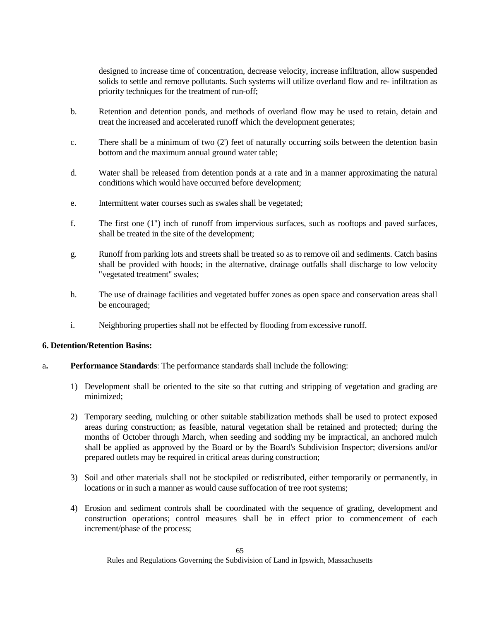designed to increase time of concentration, decrease velocity, increase infiltration, allow suspended solids to settle and remove pollutants. Such systems will utilize overland flow and re- infiltration as priority techniques for the treatment of run-off;

- b. Retention and detention ponds, and methods of overland flow may be used to retain, detain and treat the increased and accelerated runoff which the development generates;
- c. There shall be a minimum of two (2') feet of naturally occurring soils between the detention basin bottom and the maximum annual ground water table;
- d. Water shall be released from detention ponds at a rate and in a manner approximating the natural conditions which would have occurred before development;
- e. Intermittent water courses such as swales shall be vegetated;
- f. The first one (1") inch of runoff from impervious surfaces, such as rooftops and paved surfaces, shall be treated in the site of the development;
- g. Runoff from parking lots and streets shall be treated so as to remove oil and sediments. Catch basins shall be provided with hoods; in the alternative, drainage outfalls shall discharge to low velocity "vegetated treatment" swales;
- h. The use of drainage facilities and vegetated buffer zones as open space and conservation areas shall be encouraged;
- i. Neighboring properties shall not be effected by flooding from excessive runoff.

#### **6. Detention/Retention Basins:**

- a**. Performance Standards**: The performance standards shall include the following:
	- 1) Development shall be oriented to the site so that cutting and stripping of vegetation and grading are minimized;
	- 2) Temporary seeding, mulching or other suitable stabilization methods shall be used to protect exposed areas during construction; as feasible, natural vegetation shall be retained and protected; during the months of October through March, when seeding and sodding my be impractical, an anchored mulch shall be applied as approved by the Board or by the Board's Subdivision Inspector; diversions and/or prepared outlets may be required in critical areas during construction;
	- 3) Soil and other materials shall not be stockpiled or redistributed, either temporarily or permanently, in locations or in such a manner as would cause suffocation of tree root systems;
	- 4) Erosion and sediment controls shall be coordinated with the sequence of grading, development and construction operations; control measures shall be in effect prior to commencement of each increment/phase of the process;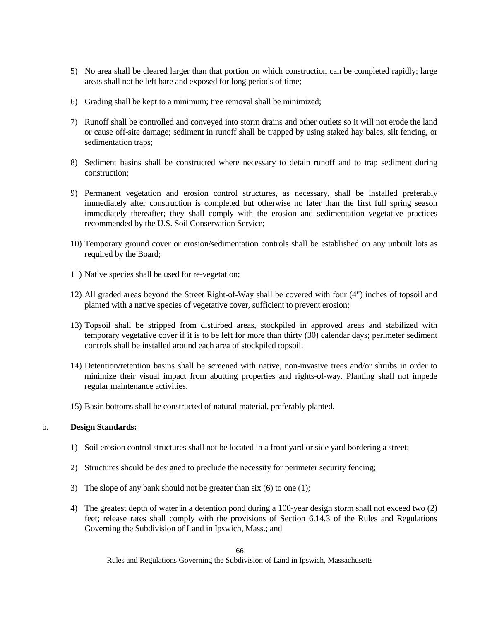- 5) No area shall be cleared larger than that portion on which construction can be completed rapidly; large areas shall not be left bare and exposed for long periods of time;
- 6) Grading shall be kept to a minimum; tree removal shall be minimized;
- 7) Runoff shall be controlled and conveyed into storm drains and other outlets so it will not erode the land or cause off-site damage; sediment in runoff shall be trapped by using staked hay bales, silt fencing, or sedimentation traps;
- 8) Sediment basins shall be constructed where necessary to detain runoff and to trap sediment during construction;
- 9) Permanent vegetation and erosion control structures, as necessary, shall be installed preferably immediately after construction is completed but otherwise no later than the first full spring season immediately thereafter; they shall comply with the erosion and sedimentation vegetative practices recommended by the U.S. Soil Conservation Service;
- 10) Temporary ground cover or erosion/sedimentation controls shall be established on any unbuilt lots as required by the Board;
- 11) Native species shall be used for re-vegetation;
- 12) All graded areas beyond the Street Right-of-Way shall be covered with four (4") inches of topsoil and planted with a native species of vegetative cover, sufficient to prevent erosion;
- 13) Topsoil shall be stripped from disturbed areas, stockpiled in approved areas and stabilized with temporary vegetative cover if it is to be left for more than thirty (30) calendar days; perimeter sediment controls shall be installed around each area of stockpiled topsoil.
- 14) Detention/retention basins shall be screened with native, non-invasive trees and/or shrubs in order to minimize their visual impact from abutting properties and rights-of-way. Planting shall not impede regular maintenance activities.
- 15) Basin bottoms shall be constructed of natural material, preferably planted.

### b. **Design Standards:**

- 1) Soil erosion control structures shall not be located in a front yard or side yard bordering a street;
- 2) Structures should be designed to preclude the necessity for perimeter security fencing;
- 3) The slope of any bank should not be greater than six (6) to one (1);
- 4) The greatest depth of water in a detention pond during a 100-year design storm shall not exceed two (2) feet; release rates shall comply with the provisions of Section 6.14.3 of the Rules and Regulations Governing the Subdivision of Land in Ipswich, Mass.; and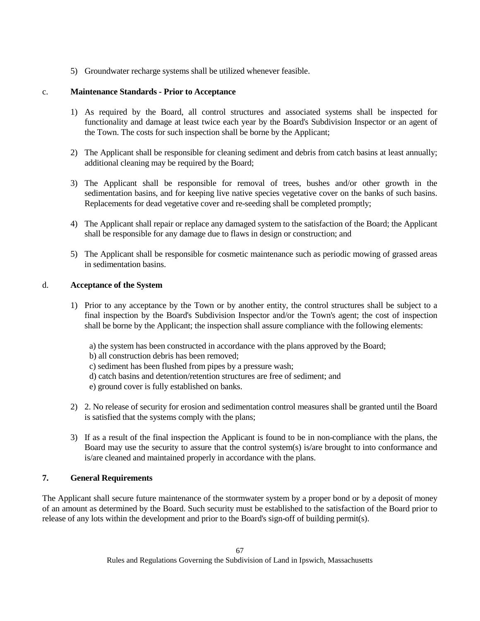5) Groundwater recharge systems shall be utilized whenever feasible.

### c. **Maintenance Standards - Prior to Acceptance**

- 1) As required by the Board, all control structures and associated systems shall be inspected for functionality and damage at least twice each year by the Board's Subdivision Inspector or an agent of the Town. The costs for such inspection shall be borne by the Applicant;
- 2) The Applicant shall be responsible for cleaning sediment and debris from catch basins at least annually; additional cleaning may be required by the Board;
- 3) The Applicant shall be responsible for removal of trees, bushes and/or other growth in the sedimentation basins, and for keeping live native species vegetative cover on the banks of such basins. Replacements for dead vegetative cover and re-seeding shall be completed promptly;
- 4) The Applicant shall repair or replace any damaged system to the satisfaction of the Board; the Applicant shall be responsible for any damage due to flaws in design or construction; and
- 5) The Applicant shall be responsible for cosmetic maintenance such as periodic mowing of grassed areas in sedimentation basins.

## d. **Acceptance of the System**

- 1) Prior to any acceptance by the Town or by another entity, the control structures shall be subject to a final inspection by the Board's Subdivision Inspector and/or the Town's agent; the cost of inspection shall be borne by the Applicant; the inspection shall assure compliance with the following elements:
	- a) the system has been constructed in accordance with the plans approved by the Board;
	- b) all construction debris has been removed;
	- c) sediment has been flushed from pipes by a pressure wash;
	- d) catch basins and detention/retention structures are free of sediment; and
	- e) ground cover is fully established on banks.
- 2) 2. No release of security for erosion and sedimentation control measures shall be granted until the Board is satisfied that the systems comply with the plans;
- 3) If as a result of the final inspection the Applicant is found to be in non-compliance with the plans, the Board may use the security to assure that the control system(s) is/are brought to into conformance and is/are cleaned and maintained properly in accordance with the plans.

## **7. General Requirements**

The Applicant shall secure future maintenance of the stormwater system by a proper bond or by a deposit of money of an amount as determined by the Board. Such security must be established to the satisfaction of the Board prior to release of any lots within the development and prior to the Board's sign-off of building permit(s).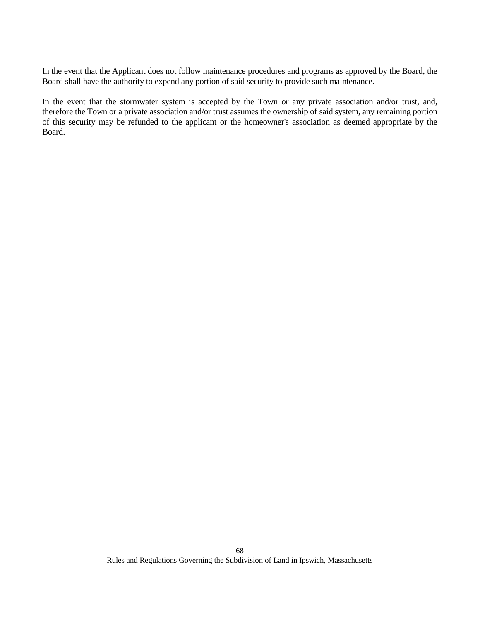In the event that the Applicant does not follow maintenance procedures and programs as approved by the Board, the Board shall have the authority to expend any portion of said security to provide such maintenance.

In the event that the stormwater system is accepted by the Town or any private association and/or trust, and, therefore the Town or a private association and/or trust assumes the ownership of said system, any remaining portion of this security may be refunded to the applicant or the homeowner's association as deemed appropriate by the Board.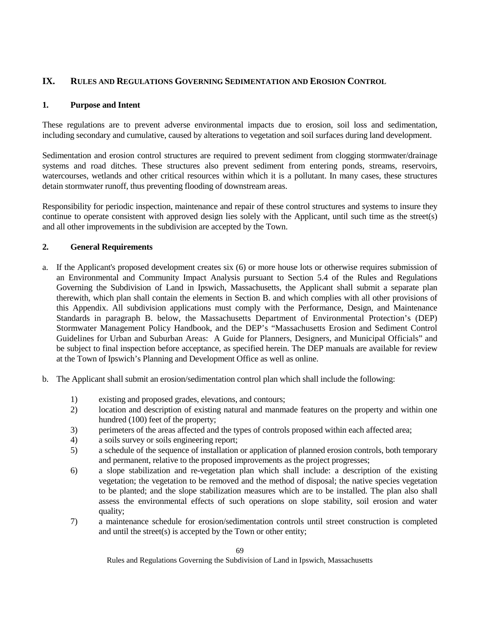## **IX. RULES AND REGULATIONS GOVERNING SEDIMENTATION AND EROSION CONTROL**

### **1. Purpose and Intent**

These regulations are to prevent adverse environmental impacts due to erosion, soil loss and sedimentation, including secondary and cumulative, caused by alterations to vegetation and soil surfaces during land development.

Sedimentation and erosion control structures are required to prevent sediment from clogging stormwater/drainage systems and road ditches. These structures also prevent sediment from entering ponds, streams, reservoirs, watercourses, wetlands and other critical resources within which it is a pollutant. In many cases, these structures detain stormwater runoff, thus preventing flooding of downstream areas.

Responsibility for periodic inspection, maintenance and repair of these control structures and systems to insure they continue to operate consistent with approved design lies solely with the Applicant, until such time as the street(s) and all other improvements in the subdivision are accepted by the Town.

## **2. General Requirements**

- a. If the Applicant's proposed development creates six (6) or more house lots or otherwise requires submission of an Environmental and Community Impact Analysis pursuant to Section 5.4 of the Rules and Regulations Governing the Subdivision of Land in Ipswich, Massachusetts, the Applicant shall submit a separate plan therewith, which plan shall contain the elements in Section B. and which complies with all other provisions of this Appendix. All subdivision applications must comply with the Performance, Design, and Maintenance Standards in paragraph B. below, the Massachusetts Department of Environmental Protection's (DEP) Stormwater Management Policy Handbook, and the DEP's "Massachusetts Erosion and Sediment Control Guidelines for Urban and Suburban Areas: A Guide for Planners, Designers, and Municipal Officials" and be subject to final inspection before acceptance, as specified herein. The DEP manuals are available for review at the Town of Ipswich's Planning and Development Office as well as online.
- b. The Applicant shall submit an erosion/sedimentation control plan which shall include the following:
	- 1) existing and proposed grades, elevations, and contours;
	- 2) location and description of existing natural and manmade features on the property and within one hundred (100) feet of the property;
	- 3) perimeters of the areas affected and the types of controls proposed within each affected area;
	- 4) a soils survey or soils engineering report;
	- 5) a schedule of the sequence of installation or application of planned erosion controls, both temporary and permanent, relative to the proposed improvements as the project progresses;
	- 6) a slope stabilization and re-vegetation plan which shall include: a description of the existing vegetation; the vegetation to be removed and the method of disposal; the native species vegetation to be planted; and the slope stabilization measures which are to be installed. The plan also shall assess the environmental effects of such operations on slope stability, soil erosion and water quality;
	- 7) a maintenance schedule for erosion/sedimentation controls until street construction is completed and until the street(s) is accepted by the Town or other entity;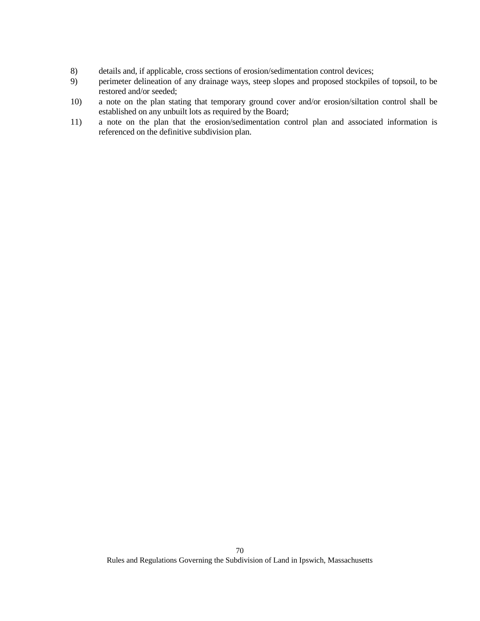- 8) details and, if applicable, cross sections of erosion/sedimentation control devices;
- 9) perimeter delineation of any drainage ways, steep slopes and proposed stockpiles of topsoil, to be restored and/or seeded;
- 10) a note on the plan stating that temporary ground cover and/or erosion/siltation control shall be established on any unbuilt lots as required by the Board;
- 11) a note on the plan that the erosion/sedimentation control plan and associated information is referenced on the definitive subdivision plan.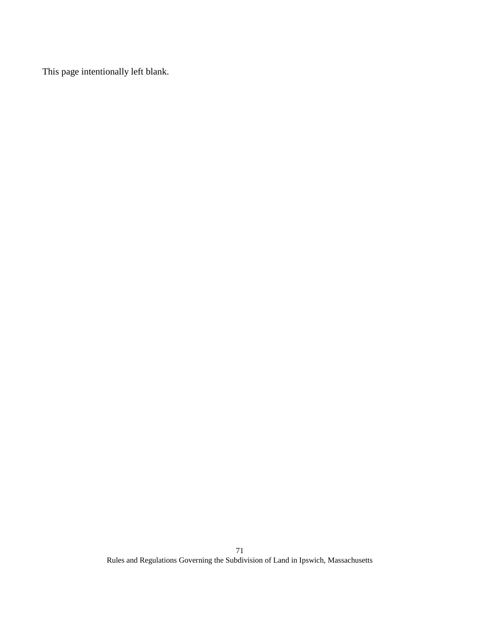This page intentionally left blank.